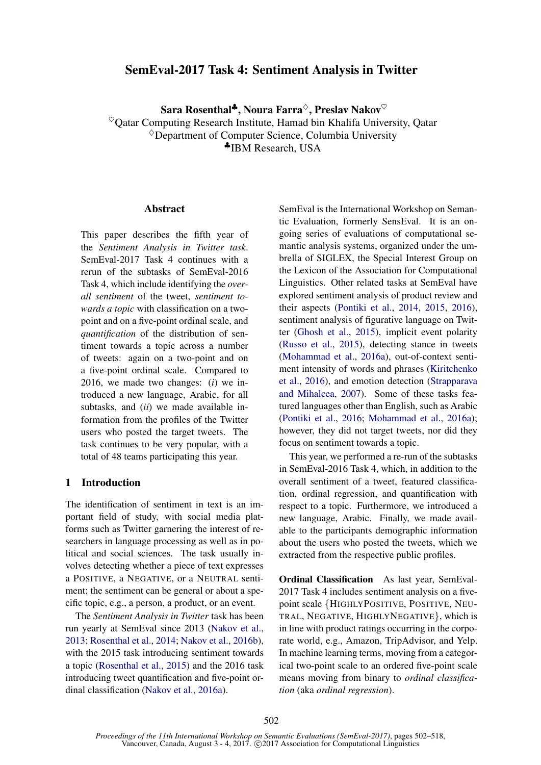# SemEval-2017 Task 4: Sentiment Analysis in Twitter

Sara Rosenthal<sup>♣</sup>, Noura Farra<sup>◇</sup>, Preslav Nakov<sup>♡</sup>

 $\textdegree$ Qatar Computing Research Institute, Hamad bin Khalifa University, Qatar

 $\Diamond$ Department of Computer Science, Columbia University

♣IBM Research, USA

## **Abstract**

This paper describes the fifth year of the *Sentiment Analysis in Twitter task*. SemEval-2017 Task 4 continues with a rerun of the subtasks of SemEval-2016 Task 4, which include identifying the *overall sentiment* of the tweet, *sentiment towards a topic* with classification on a twopoint and on a five-point ordinal scale, and *quantification* of the distribution of sentiment towards a topic across a number of tweets: again on a two-point and on a five-point ordinal scale. Compared to 2016, we made two changes: (*i*) we introduced a new language, Arabic, for all subtasks, and (*ii*) we made available information from the profiles of the Twitter users who posted the target tweets. The task continues to be very popular, with a total of 48 teams participating this year.

## 1 Introduction

The identification of sentiment in text is an important field of study, with social media platforms such as Twitter garnering the interest of researchers in language processing as well as in political and social sciences. The task usually involves detecting whether a piece of text expresses a POSITIVE, a NEGATIVE, or a NEUTRAL sentiment; the sentiment can be general or about a specific topic, e.g., a person, a product, or an event.

The *Sentiment Analysis in Twitter* task has been run yearly at SemEval since 2013 (Nakov et al., 2013; Rosenthal et al., 2014; Nakov et al., 2016b), with the 2015 task introducing sentiment towards a topic (Rosenthal et al., 2015) and the 2016 task introducing tweet quantification and five-point ordinal classification (Nakov et al., 2016a).

SemEval is the International Workshop on Semantic Evaluation, formerly SensEval. It is an ongoing series of evaluations of computational semantic analysis systems, organized under the umbrella of SIGLEX, the Special Interest Group on the Lexicon of the Association for Computational Linguistics. Other related tasks at SemEval have explored sentiment analysis of product review and their aspects (Pontiki et al., 2014, 2015, 2016), sentiment analysis of figurative language on Twitter (Ghosh et al., 2015), implicit event polarity (Russo et al., 2015), detecting stance in tweets (Mohammad et al., 2016a), out-of-context sentiment intensity of words and phrases (Kiritchenko et al., 2016), and emotion detection (Strapparava and Mihalcea, 2007). Some of these tasks featured languages other than English, such as Arabic (Pontiki et al., 2016; Mohammad et al., 2016a); however, they did not target tweets, nor did they focus on sentiment towards a topic.

This year, we performed a re-run of the subtasks in SemEval-2016 Task 4, which, in addition to the overall sentiment of a tweet, featured classification, ordinal regression, and quantification with respect to a topic. Furthermore, we introduced a new language, Arabic. Finally, we made available to the participants demographic information about the users who posted the tweets, which we extracted from the respective public profiles.

Ordinal Classification As last year, SemEval-2017 Task 4 includes sentiment analysis on a fivepoint scale {HIGHLYPOSITIVE, POSITIVE, NEU-TRAL, NEGATIVE, HIGHLYNEGATIVE}, which is in line with product ratings occurring in the corporate world, e.g., Amazon, TripAdvisor, and Yelp. In machine learning terms, moving from a categorical two-point scale to an ordered five-point scale means moving from binary to *ordinal classification* (aka *ordinal regression*).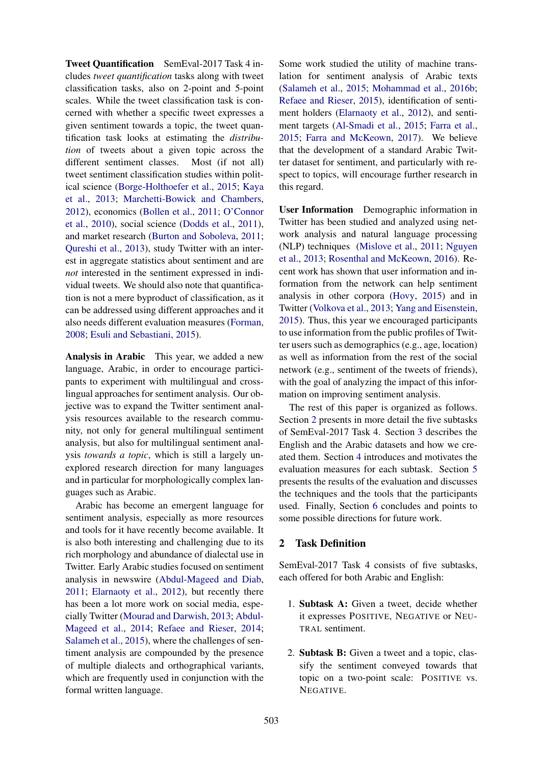Tweet Quantification SemEval-2017 Task 4 includes *tweet quantification* tasks along with tweet classification tasks, also on 2-point and 5-point scales. While the tweet classification task is concerned with whether a specific tweet expresses a given sentiment towards a topic, the tweet quantification task looks at estimating the *distribution* of tweets about a given topic across the different sentiment classes. Most (if not all) tweet sentiment classification studies within political science (Borge-Holthoefer et al., 2015; Kaya et al., 2013; Marchetti-Bowick and Chambers, 2012), economics (Bollen et al., 2011; O'Connor et al., 2010), social science (Dodds et al., 2011), and market research (Burton and Soboleva, 2011; Qureshi et al., 2013), study Twitter with an interest in aggregate statistics about sentiment and are *not* interested in the sentiment expressed in individual tweets. We should also note that quantification is not a mere byproduct of classification, as it can be addressed using different approaches and it also needs different evaluation measures (Forman, 2008; Esuli and Sebastiani, 2015).

Analysis in Arabic This year, we added a new language, Arabic, in order to encourage participants to experiment with multilingual and crosslingual approaches for sentiment analysis. Our objective was to expand the Twitter sentiment analysis resources available to the research community, not only for general multilingual sentiment analysis, but also for multilingual sentiment analysis *towards a topic*, which is still a largely unexplored research direction for many languages and in particular for morphologically complex languages such as Arabic.

Arabic has become an emergent language for sentiment analysis, especially as more resources and tools for it have recently become available. It is also both interesting and challenging due to its rich morphology and abundance of dialectal use in Twitter. Early Arabic studies focused on sentiment analysis in newswire (Abdul-Mageed and Diab, 2011; Elarnaoty et al., 2012), but recently there has been a lot more work on social media, especially Twitter (Mourad and Darwish, 2013; Abdul-Mageed et al., 2014; Refaee and Rieser, 2014; Salameh et al., 2015), where the challenges of sentiment analysis are compounded by the presence of multiple dialects and orthographical variants, which are frequently used in conjunction with the formal written language.

Some work studied the utility of machine translation for sentiment analysis of Arabic texts (Salameh et al., 2015; Mohammad et al., 2016b; Refaee and Rieser, 2015), identification of sentiment holders (Elarnaoty et al., 2012), and sentiment targets (Al-Smadi et al., 2015; Farra et al., 2015; Farra and McKeown, 2017). We believe that the development of a standard Arabic Twitter dataset for sentiment, and particularly with respect to topics, will encourage further research in this regard.

User Information Demographic information in Twitter has been studied and analyzed using network analysis and natural language processing (NLP) techniques (Mislove et al., 2011; Nguyen et al., 2013; Rosenthal and McKeown, 2016). Recent work has shown that user information and information from the network can help sentiment analysis in other corpora (Hovy, 2015) and in Twitter (Volkova et al., 2013; Yang and Eisenstein, 2015). Thus, this year we encouraged participants to use information from the public profiles of Twitter users such as demographics (e.g., age, location) as well as information from the rest of the social network (e.g., sentiment of the tweets of friends), with the goal of analyzing the impact of this information on improving sentiment analysis.

The rest of this paper is organized as follows. Section 2 presents in more detail the five subtasks of SemEval-2017 Task 4. Section 3 describes the English and the Arabic datasets and how we created them. Section 4 introduces and motivates the evaluation measures for each subtask. Section 5 presents the results of the evaluation and discusses the techniques and the tools that the participants used. Finally, Section 6 concludes and points to some possible directions for future work.

## 2 Task Definition

SemEval-2017 Task 4 consists of five subtasks, each offered for both Arabic and English:

- 1. Subtask A: Given a tweet, decide whether it expresses POSITIVE, NEGATIVE or NEU-TRAL sentiment.
- 2. Subtask B: Given a tweet and a topic, classify the sentiment conveyed towards that topic on a two-point scale: POSITIVE vs. NEGATIVE.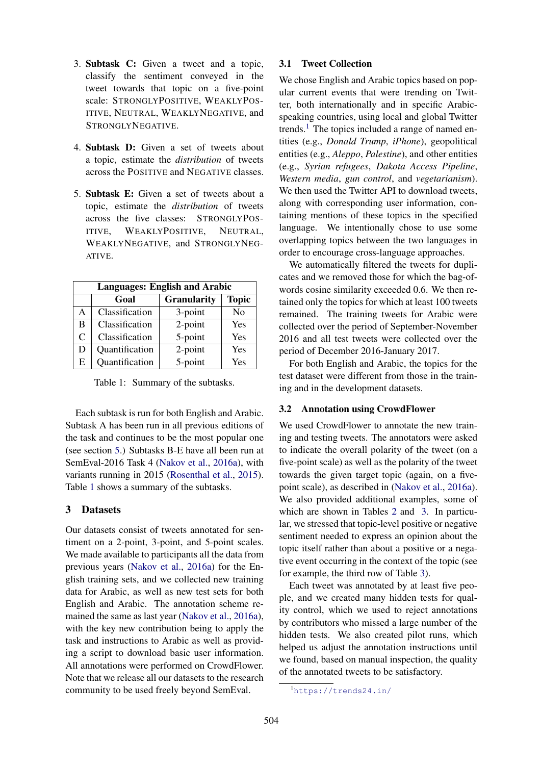- 3. Subtask C: Given a tweet and a topic, classify the sentiment conveyed in the tweet towards that topic on a five-point scale: STRONGLYPOSITIVE, WEAKLYPOS-ITIVE, NEUTRAL, WEAKLYNEGATIVE, and STRONGLYNEGATIVE.
- 4. Subtask D: Given a set of tweets about a topic, estimate the *distribution* of tweets across the POSITIVE and NEGATIVE classes.
- 5. Subtask E: Given a set of tweets about a topic, estimate the *distribution* of tweets across the five classes: STRONGLYPOS-ITIVE, WEAKLYPOSITIVE, NEUTRAL, WEAKLYNEGATIVE, and STRONGLYNEG-ATIVE.

| <b>Languages: English and Arabic</b> |                                            |            |                |  |  |  |
|--------------------------------------|--------------------------------------------|------------|----------------|--|--|--|
|                                      | <b>Topic</b><br><b>Granularity</b><br>Goal |            |                |  |  |  |
| A                                    | Classification                             | 3-point    | N <sub>0</sub> |  |  |  |
| B                                    | Classification                             | $2$ -point | Yes            |  |  |  |
| C                                    | Classification                             | 5-point    | Yes            |  |  |  |
| D                                    | Quantification                             | 2-point    | Yes            |  |  |  |
| E                                    | Quantification                             | 5-point    | Yes            |  |  |  |

Table 1: Summary of the subtasks.

Each subtask is run for both English and Arabic. Subtask A has been run in all previous editions of the task and continues to be the most popular one (see section 5.) Subtasks B-E have all been run at SemEval-2016 Task 4 (Nakov et al., 2016a), with variants running in 2015 (Rosenthal et al., 2015). Table 1 shows a summary of the subtasks.

## 3 Datasets

Our datasets consist of tweets annotated for sentiment on a 2-point, 3-point, and 5-point scales. We made available to participants all the data from previous years (Nakov et al., 2016a) for the English training sets, and we collected new training data for Arabic, as well as new test sets for both English and Arabic. The annotation scheme remained the same as last year (Nakov et al., 2016a), with the key new contribution being to apply the task and instructions to Arabic as well as providing a script to download basic user information. All annotations were performed on CrowdFlower. Note that we release all our datasets to the research community to be used freely beyond SemEval.

### 3.1 Tweet Collection

We chose English and Arabic topics based on popular current events that were trending on Twitter, both internationally and in specific Arabicspeaking countries, using local and global Twitter trends.<sup>1</sup> The topics included a range of named entities (e.g., *Donald Trump*, *iPhone*), geopolitical entities (e.g., *Aleppo*, *Palestine*), and other entities (e.g., *Syrian refugees*, *Dakota Access Pipeline*, *Western media*, *gun control*, and *vegetarianism*). We then used the Twitter API to download tweets, along with corresponding user information, containing mentions of these topics in the specified language. We intentionally chose to use some overlapping topics between the two languages in order to encourage cross-language approaches.

We automatically filtered the tweets for duplicates and we removed those for which the bag-ofwords cosine similarity exceeded 0.6. We then retained only the topics for which at least 100 tweets remained. The training tweets for Arabic were collected over the period of September-November 2016 and all test tweets were collected over the period of December 2016-January 2017.

For both English and Arabic, the topics for the test dataset were different from those in the training and in the development datasets.

### 3.2 Annotation using CrowdFlower

We used CrowdFlower to annotate the new training and testing tweets. The annotators were asked to indicate the overall polarity of the tweet (on a five-point scale) as well as the polarity of the tweet towards the given target topic (again, on a fivepoint scale), as described in (Nakov et al., 2016a). We also provided additional examples, some of which are shown in Tables 2 and 3. In particular, we stressed that topic-level positive or negative sentiment needed to express an opinion about the topic itself rather than about a positive or a negative event occurring in the context of the topic (see for example, the third row of Table 3).

Each tweet was annotated by at least five people, and we created many hidden tests for quality control, which we used to reject annotations by contributors who missed a large number of the hidden tests. We also created pilot runs, which helped us adjust the annotation instructions until we found, based on manual inspection, the quality of the annotated tweets to be satisfactory.

<sup>1</sup>https://trends24.in/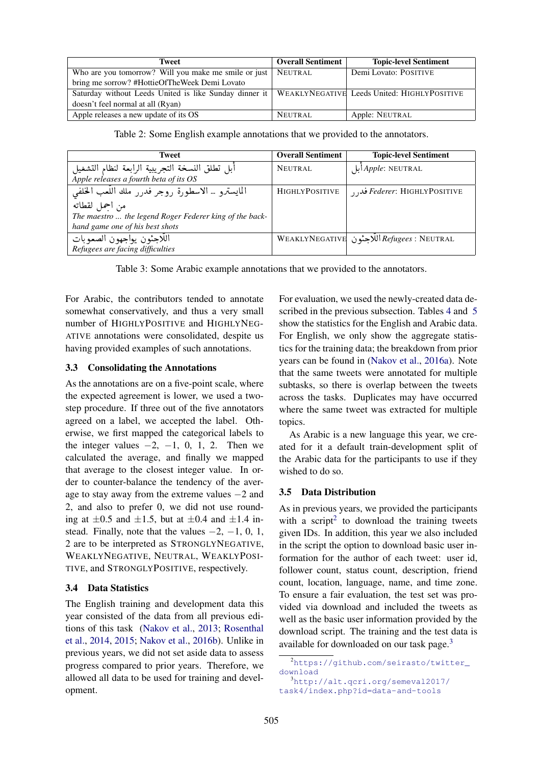| Tweet                                                                                                | <b>Overall Sentiment</b> | <b>Topic-level Sentiment</b> |
|------------------------------------------------------------------------------------------------------|--------------------------|------------------------------|
| Who are you tomorrow? Will you make me smile or just                                                 | NEUTRAL                  | Demi Lovato: POSITIVE        |
| bring me sorrow? #HottieOfTheWeek Demi Lovato                                                        |                          |                              |
| Saturday without Leeds United is like Sunday dinner it   WEAKLYNEGATIVE Leeds United: HIGHLYPOSITIVE |                          |                              |
| doesn't feel normal at all (Ryan)                                                                    |                          |                              |
| Apple releases a new update of its OS                                                                | NEUTRAL                  | Apple: NEUTRAL               |

Table 2: Some English example annotations that we provided to the annotators.

| <b>Tweet</b>                                                                              | <b>Overall Sentiment</b> | <b>Topic-level Sentiment</b>                      |
|-------------------------------------------------------------------------------------------|--------------------------|---------------------------------------------------|
| أبل تطلق النسخة التجريبية الرابعة لنظام التشغيل<br>Apple releases a fourth beta of its OS | NEUTRAL                  | ابل Apple: NEUTRAL                                |
| المايسترو … الاسطورة روجر فدرر ملك اللُّعب الخلفي                                         | <b>HIGHLYPOSITIVE</b>    | <i>Federer</i> : HIGHLYPOSITIVE فد <sub>ا د</sub> |
| من احمل لقطاته                                                                            |                          |                                                   |
| The maestro  the legend Roger Federer king of the back-                                   |                          |                                                   |
| hand game one of his best shots                                                           |                          |                                                   |
| اللاجئون يواجهون الصعوبات                                                                 |                          | WEAKLYNEGATIVE اللاجئون   WEAKLYNEGATIVE          |
| Refugees are facing difficulties                                                          |                          |                                                   |

Table 3: Some Arabic example annotations that we provided to the annotators.

For Arabic, the contributors tended to annotate somewhat conservatively, and thus a very small number of HIGHLYPOSITIVE and HIGHLYNEG-ATIVE annotations were consolidated, despite us having provided examples of such annotations.

### 3.3 Consolidating the Annotations

As the annotations are on a five-point scale, where the expected agreement is lower, we used a twostep procedure. If three out of the five annotators agreed on a label, we accepted the label. Otherwise, we first mapped the categorical labels to the integer values  $-2$ ,  $-1$ , 0, 1, 2. Then we calculated the average, and finally we mapped that average to the closest integer value. In order to counter-balance the tendency of the average to stay away from the extreme values −2 and 2, and also to prefer 0, we did not use rounding at  $\pm 0.5$  and  $\pm 1.5$ , but at  $\pm 0.4$  and  $\pm 1.4$  instead. Finally, note that the values  $-2$ ,  $-1$ , 0, 1, 2 are to be interpreted as STRONGLYNEGATIVE, WEAKLYNEGATIVE, NEUTRAL, WEAKLYPOSI-TIVE, and STRONGLYPOSITIVE, respectively.

## 3.4 Data Statistics

The English training and development data this year consisted of the data from all previous editions of this task (Nakov et al., 2013; Rosenthal et al., 2014, 2015; Nakov et al., 2016b). Unlike in previous years, we did not set aside data to assess progress compared to prior years. Therefore, we allowed all data to be used for training and development.

For evaluation, we used the newly-created data described in the previous subsection. Tables 4 and 5 show the statistics for the English and Arabic data. For English, we only show the aggregate statistics for the training data; the breakdown from prior years can be found in (Nakov et al., 2016a). Note that the same tweets were annotated for multiple subtasks, so there is overlap between the tweets across the tasks. Duplicates may have occurred where the same tweet was extracted for multiple topics.

As Arabic is a new language this year, we created for it a default train-development split of the Arabic data for the participants to use if they wished to do so.

## 3.5 Data Distribution

As in previous years, we provided the participants with a script<sup>2</sup> to download the training tweets given IDs. In addition, this year we also included in the script the option to download basic user information for the author of each tweet: user id, follower count, status count, description, friend count, location, language, name, and time zone. To ensure a fair evaluation, the test set was provided via download and included the tweets as well as the basic user information provided by the download script. The training and the test data is available for downloaded on our task page.<sup>3</sup>

<sup>2</sup>https://github.com/seirasto/twitter\_ download

<sup>3</sup>http://alt.qcri.org/semeval2017/ task4/index.php?id=data-and-tools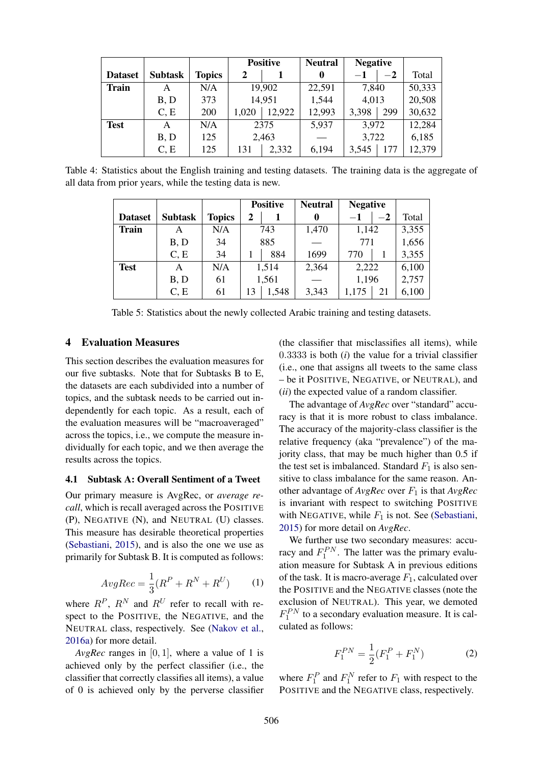|                |                |               |       | <b>Positive</b> |        | <b>Negative</b> |      |        |
|----------------|----------------|---------------|-------|-----------------|--------|-----------------|------|--------|
| <b>Dataset</b> | <b>Subtask</b> | <b>Topics</b> | 2     |                 | 0      | $-1$            | $-2$ | Total  |
| <b>Train</b>   | A              | N/A           |       | 19,902          | 22,591 | 7,840           |      | 50,333 |
|                | B, D           | 373           |       | 14,951          | 1,544  | 4,013           |      | 20,508 |
|                | C, E           | 200           | 1,020 | 12,922          | 12,993 | 3,398           | 299  | 30,632 |
| <b>Test</b>    | A              | N/A           |       | 2375            | 5,937  | 3,972           |      | 12,284 |
|                | B, D           | 125           |       | 2,463           |        | 3,722           |      | 6,185  |
|                | C, E           | 125           | 131   | 2,332           | 6,194  | 3,545           | 177  | 12,379 |

Table 4: Statistics about the English training and testing datasets. The training data is the aggregate of all data from prior years, while the testing data is new.

|                |                |               |    | <b>Positive</b> | <b>Neutral</b> | <b>Negative</b> |      |       |
|----------------|----------------|---------------|----|-----------------|----------------|-----------------|------|-------|
| <b>Dataset</b> | <b>Subtask</b> | <b>Topics</b> | 2  |                 | 0              | $-1$            | $-2$ | Total |
| <b>Train</b>   | A              | N/A           |    | 743             | 1,470          | 1,142           |      | 3,355 |
|                | B, D           | 34            |    | 885             |                | 771             |      | 1,656 |
|                | C, E           | 34            |    | 884             | 1699           | 770             |      | 3,355 |
| <b>Test</b>    | A              | N/A           |    | 1,514           | 2,364          | 2,222           |      | 6,100 |
|                | B, D           | 61            |    | 1,561           |                | 1,196           |      | 2,757 |
|                | C, E           | 61            | 13 | 1,548           | 3,343          | 1,175           | 21   | 6,100 |

Table 5: Statistics about the newly collected Arabic training and testing datasets.

### 4 Evaluation Measures

This section describes the evaluation measures for our five subtasks. Note that for Subtasks B to E, the datasets are each subdivided into a number of topics, and the subtask needs to be carried out independently for each topic. As a result, each of the evaluation measures will be "macroaveraged" across the topics, i.e., we compute the measure individually for each topic, and we then average the results across the topics.

### 4.1 Subtask A: Overall Sentiment of a Tweet

Our primary measure is AvgRec, or *average recall*, which is recall averaged across the POSITIVE (P), NEGATIVE (N), and NEUTRAL (U) classes. This measure has desirable theoretical properties (Sebastiani, 2015), and is also the one we use as primarily for Subtask B. It is computed as follows:

$$
AvgRec = \frac{1}{3}(R^P + R^N + R^U) \tag{1}
$$

where  $R^P$ ,  $R^N$  and  $R^U$  refer to recall with respect to the POSITIVE, the NEGATIVE, and the NEUTRAL class, respectively. See (Nakov et al., 2016a) for more detail.

*AvgRec* ranges in [0, 1], where a value of 1 is achieved only by the perfect classifier (i.e., the classifier that correctly classifies all items), a value of 0 is achieved only by the perverse classifier

(the classifier that misclassifies all items), while 0.3333 is both (*i*) the value for a trivial classifier (i.e., one that assigns all tweets to the same class – be it POSITIVE, NEGATIVE, or NEUTRAL), and (*ii*) the expected value of a random classifier.

The advantage of *AvgRec* over "standard" accuracy is that it is more robust to class imbalance. The accuracy of the majority-class classifier is the relative frequency (aka "prevalence") of the majority class, that may be much higher than 0.5 if the test set is imbalanced. Standard  $F_1$  is also sensitive to class imbalance for the same reason. Another advantage of  $AvgRec$  over  $F_1$  is that  $AvgRec$ is invariant with respect to switching POSITIVE with NEGATIVE, while  $F_1$  is not. See (Sebastiani, 2015) for more detail on *AvgRec*.

We further use two secondary measures: accuracy and  $F_1^{PN}$ . The latter was the primary evaluation measure for Subtask A in previous editions of the task. It is macro-average  $F_1$ , calculated over the POSITIVE and the NEGATIVE classes (note the exclusion of NEUTRAL). This year, we demoted  $F_1^{PN}$  to a secondary evaluation measure. It is calculated as follows:

$$
F_1^{PN} = \frac{1}{2}(F_1^P + F_1^N) \tag{2}
$$

where  $F_1^P$  and  $F_1^N$  refer to  $F_1$  with respect to the POSITIVE and the NEGATIVE class, respectively.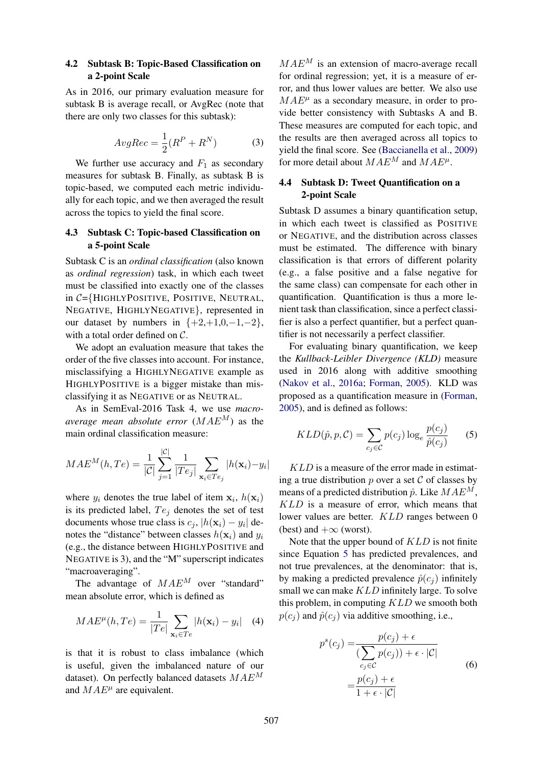### 4.2 Subtask B: Topic-Based Classification on a 2-point Scale

As in 2016, our primary evaluation measure for subtask B is average recall, or AvgRec (note that there are only two classes for this subtask):

$$
AvgRec = \frac{1}{2}(R^P + R^N) \tag{3}
$$

We further use accuracy and  $F_1$  as secondary measures for subtask B. Finally, as subtask B is topic-based, we computed each metric individually for each topic, and we then averaged the result across the topics to yield the final score.

## 4.3 Subtask C: Topic-based Classification on a 5-point Scale

Subtask C is an *ordinal classification* (also known as *ordinal regression*) task, in which each tweet must be classified into exactly one of the classes in C={HIGHLYPOSITIVE, POSITIVE, NEUTRAL, NEGATIVE, HIGHLYNEGATIVE}, represented in our dataset by numbers in  ${+2,+1,0,-1,-2}$ , with a total order defined on C.

We adopt an evaluation measure that takes the order of the five classes into account. For instance, misclassifying a HIGHLYNEGATIVE example as HIGHLYPOSITIVE is a bigger mistake than misclassifying it as NEGATIVE or as NEUTRAL.

As in SemEval-2016 Task 4, we use *macroaverage mean absolute error*  $(MAE^M)$  as the main ordinal classification measure:

$$
MAE^{M}(h, Te) = \frac{1}{|\mathcal{C}|} \sum_{j=1}^{|\mathcal{C}|} \frac{1}{|Te_j|} \sum_{\mathbf{x}_i \in Te_j} |h(\mathbf{x}_i) - y_i|
$$

where  $y_i$  denotes the true label of item  $x_i$ ,  $h(x_i)$ is its predicted label,  $Te_j$  denotes the set of test documents whose true class is  $c_j$ ,  $|h(\mathbf{x}_i) - y_i|$  denotes the "distance" between classes  $h(\mathbf{x}_i)$  and  $y_i$ (e.g., the distance between HIGHLYPOSITIVE and NEGATIVE is 3), and the "M" superscript indicates "macroaveraging".

The advantage of  $MAE<sup>M</sup>$  over "standard" mean absolute error, which is defined as

$$
MAE^{\mu}(h, Te) = \frac{1}{|Te|} \sum_{\mathbf{x}_i \in Te} |h(\mathbf{x}_i) - y_i| \quad (4)
$$

is that it is robust to class imbalance (which is useful, given the imbalanced nature of our dataset). On perfectly balanced datasets  $MAE<sup>M</sup>$ and  $MAE^{\mu}$  are equivalent.

 $MAE<sup>M</sup>$  is an extension of macro-average recall for ordinal regression; yet, it is a measure of error, and thus lower values are better. We also use  $MAE^{\mu}$  as a secondary measure, in order to provide better consistency with Subtasks A and B. These measures are computed for each topic, and the results are then averaged across all topics to yield the final score. See (Baccianella et al., 2009) for more detail about  $MAE^M$  and  $MAE^{\mu}$ .

## 4.4 Subtask D: Tweet Quantification on a 2-point Scale

Subtask D assumes a binary quantification setup, in which each tweet is classified as POSITIVE or NEGATIVE, and the distribution across classes must be estimated. The difference with binary classification is that errors of different polarity (e.g., a false positive and a false negative for the same class) can compensate for each other in quantification. Quantification is thus a more lenient task than classification, since a perfect classifier is also a perfect quantifier, but a perfect quantifier is not necessarily a perfect classifier.

For evaluating binary quantification, we keep the *Kullback-Leibler Divergence (KLD)* measure used in 2016 along with additive smoothing (Nakov et al., 2016a; Forman, 2005). KLD was proposed as a quantification measure in (Forman, 2005), and is defined as follows:

$$
KLD(\hat{p}, p, \mathcal{C}) = \sum_{c_j \in \mathcal{C}} p(c_j) \log_e \frac{p(c_j)}{\hat{p}(c_j)}
$$
(5)

KLD is a measure of the error made in estimating a true distribution  $p$  over a set  $\mathcal C$  of classes by means of a predicted distribution  $\hat{p}$ . Like  $MAE^M$ , KLD is a measure of error, which means that lower values are better. KLD ranges between 0 (best) and  $+\infty$  (worst).

Note that the upper bound of  $KLD$  is not finite since Equation 5 has predicted prevalences, and not true prevalences, at the denominator: that is, by making a predicted prevalence  $\hat{p}(c_i)$  infinitely small we can make  $KLD$  infinitely large. To solve this problem, in computing  $KLD$  we smooth both  $p(c_i)$  and  $\hat{p}(c_i)$  via additive smoothing, i.e.,

$$
p^{s}(c_j) = \frac{p(c_j) + \epsilon}{\sum_{c_j \in C} p(c_j) + \epsilon \cdot |\mathcal{C}|}
$$
  
= 
$$
\frac{p(c_j) + \epsilon}{1 + \epsilon \cdot |\mathcal{C}|}
$$
 (6)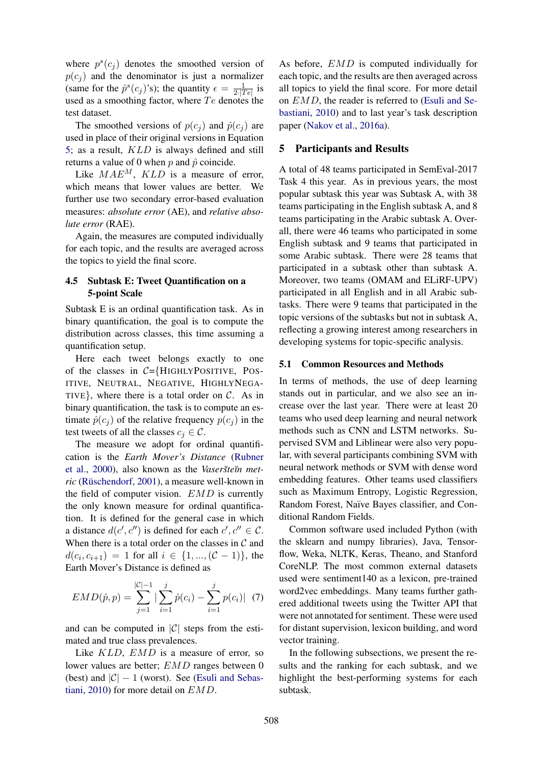where  $p^{s}(c_j)$  denotes the smoothed version of  $p(c_i)$  and the denominator is just a normalizer (same for the  $\hat{p}^s(c_j)$ 's); the quantity  $\epsilon = \frac{1}{2\cdot17}$  $rac{1}{2$ .  $|Te|}$  is used as a smoothing factor, where  $Te$  denotes the test dataset.

The smoothed versions of  $p(c_i)$  and  $\hat{p}(c_i)$  are used in place of their original versions in Equation 5; as a result, KLD is always defined and still returns a value of 0 when  $p$  and  $\hat{p}$  coincide.

Like  $MAE^M$ ,  $KLD$  is a measure of error, which means that lower values are better. We further use two secondary error-based evaluation measures: *absolute error* (AE), and *relative absolute error* (RAE).

Again, the measures are computed individually for each topic, and the results are averaged across the topics to yield the final score.

### 4.5 Subtask E: Tweet Quantification on a 5-point Scale

Subtask E is an ordinal quantification task. As in binary quantification, the goal is to compute the distribution across classes, this time assuming a quantification setup.

Here each tweet belongs exactly to one of the classes in  $C = \{H \cup H \cup P \cup H \cup H \}$ . Pos-ITIVE, NEUTRAL, NEGATIVE, HIGHLYNEGA-TIVE}, where there is a total order on  $C$ . As in binary quantification, the task is to compute an estimate  $\hat{p}(c_i)$  of the relative frequency  $p(c_i)$  in the test tweets of all the classes  $c_i \in \mathcal{C}$ .

The measure we adopt for ordinal quantification is the *Earth Mover's Distance* (Rubner et al., 2000), also known as the *Vaseršte in metric* (Rüschendorf, 2001), a measure well-known in the field of computer vision.  $EMD$  is currently the only known measure for ordinal quantification. It is defined for the general case in which a distance  $d(c', c'')$  is defined for each  $c', c'' \in \mathcal{C}$ . When there is a total order on the classes in  $C$  and  $d(c_i, c_{i+1}) = 1$  for all  $i \in \{1, ..., (\mathcal{C} - 1)\}\)$ , the Earth Mover's Distance is defined as

$$
EMD(\hat{p}, p) = \sum_{j=1}^{|\mathcal{C}|-1} |\sum_{i=1}^{j} \hat{p}(c_i) - \sum_{i=1}^{j} p(c_i)| \quad (7)
$$

and can be computed in  $|C|$  steps from the estimated and true class prevalences.

Like *KLD*, *EMD* is a measure of error, so lower values are better; EMD ranges between 0 (best) and  $|\mathcal{C}| - 1$  (worst). See (Esuli and Sebastiani, 2010) for more detail on EMD.

As before, EMD is computed individually for each topic, and the results are then averaged across all topics to yield the final score. For more detail on EMD, the reader is referred to (Esuli and Sebastiani, 2010) and to last year's task description paper (Nakov et al., 2016a).

#### 5 Participants and Results

A total of 48 teams participated in SemEval-2017 Task 4 this year. As in previous years, the most popular subtask this year was Subtask A, with 38 teams participating in the English subtask A, and 8 teams participating in the Arabic subtask A. Overall, there were 46 teams who participated in some English subtask and 9 teams that participated in some Arabic subtask. There were 28 teams that participated in a subtask other than subtask A. Moreover, two teams (OMAM and ELiRF-UPV) participated in all English and in all Arabic subtasks. There were 9 teams that participated in the topic versions of the subtasks but not in subtask A, reflecting a growing interest among researchers in developing systems for topic-specific analysis.

#### 5.1 Common Resources and Methods

In terms of methods, the use of deep learning stands out in particular, and we also see an increase over the last year. There were at least 20 teams who used deep learning and neural network methods such as CNN and LSTM networks. Supervised SVM and Liblinear were also very popular, with several participants combining SVM with neural network methods or SVM with dense word embedding features. Other teams used classifiers such as Maximum Entropy, Logistic Regression, Random Forest, Naïve Bayes classifier, and Conditional Random Fields.

Common software used included Python (with the sklearn and numpy libraries), Java, Tensorflow, Weka, NLTK, Keras, Theano, and Stanford CoreNLP. The most common external datasets used were sentiment140 as a lexicon, pre-trained word2vec embeddings. Many teams further gathered additional tweets using the Twitter API that were not annotated for sentiment. These were used for distant supervision, lexicon building, and word vector training.

In the following subsections, we present the results and the ranking for each subtask, and we highlight the best-performing systems for each subtask.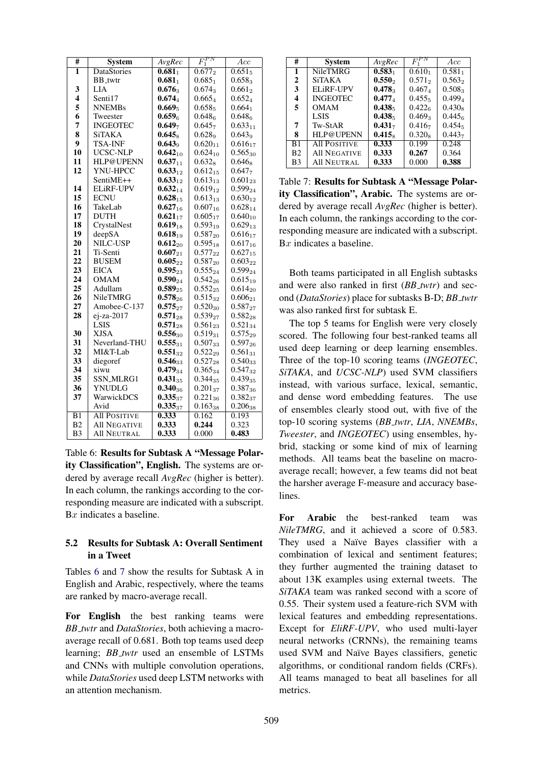| #                       | <b>System</b>       | AvgRec              | $F_1^{PN}$           | Acc                |
|-------------------------|---------------------|---------------------|----------------------|--------------------|
| 1                       | <b>DataStories</b>  | $0.681_1$           | $\overline{0.677}_2$ | $0.651_5$          |
|                         | <b>BB_twtr</b>      | 0.681 <sub>1</sub>  | $0.685_1$            | $0.658_3$          |
| 3                       | <b>LIA</b>          | $0.676_3$           | $0.674_3$            | $0.661_2$          |
| $\overline{\mathbf{4}}$ | Senti17             | $0.674_{4}$         | $0.665_{4}$          | $0.652_{4}$        |
| 5                       | <b>NNEMBs</b>       | $0.669_5$           | $0.658_5$            | $0.664_1$          |
| 6                       | Tweester            | 0.659 <sub>6</sub>  | 0.648 <sub>6</sub>   | 0.648 <sub>6</sub> |
| 7                       | <b>INGEOTEC</b>     | 0.649 <sub>7</sub>  | 0.645 <sub>7</sub>   | $0.633_{11}$       |
| 8                       | SiTAKA              | $0.645_8$           | 0.628 <sub>9</sub>   | $0.643\sigma$      |
| 9                       | <b>TSA-INF</b>      | $0.643\sigma$       | $0.620_{11}$         | $0.616_{17}$       |
| 10                      | UCSC-NLP            | $0.642_{10}$        | $0.624_{10}$         | $0.565_{30}$       |
| 11                      | HLP@UPENN           | 0.637 <sub>11</sub> | $0.632_8$            | $0.646_8$          |
| 12                      | YNU-HPCC            | 0.633 <sub>12</sub> | $0.612_{15}$         | 0.647 <sub>7</sub> |
|                         | SentiME++           | $0.633_{12}$        | $0.613_{13}$         | $0.601_{23}$       |
| 14                      | <b>ELIRE-UPV</b>    | $0.632_{14}$        | $0.619_{12}$         | $0.599_{24}$       |
| 15                      | <b>ECNU</b>         | $0.628_{15}$        | $0.613_{13}$         | $0.630_{12}$       |
| 16                      | TakeLab             | $0.627_{16}$        | $0.607_{16}$         | $0.628_{14}$       |
| 17                      | <b>DUTH</b>         | $0.621_{17}$        | $0.605_{17}$         | $0.640_{10}$       |
| 18                      | CrystalNest         | $0.619_{18}$        | $0.593_{19}$         | $0.629_{13}$       |
| 19                      | deepSA              | $0.618_{19}$        | $0.587_{20}$         | $0.616_{17}$       |
| 20                      | NILC-USP            | $0.612_{20}$        | $0.595_{18}$         | $0.617_{16}$       |
| 21                      | Ti-Senti            | $0.607_{21}$        | $0.577_{22}$         | $0.627_{15}$       |
| 22                      | <b>BUSEM</b>        | $0.605_{22}$        | $0.587_{20}$         | $0.603_{22}$       |
| 23                      | <b>EICA</b>         | $0.595_{23}$        | $0.555_{24}$         | $0.599_{24}$       |
| 24                      | <b>OMAM</b>         | $0.590_{24}$        | $0.542_{26}$         | $0.615_{19}$       |
| 25                      | Adullam             | $0.589_{25}$        | $0.552_{25}$         | $0.614_{20}$       |
| 26                      | NileTMRG            | $0.578_{26}$        | $0.515_{32}$         | $0.606_{21}$       |
| 27                      | Amobee-C-137        | $0.575_{27}$        | $0.520_{30}$         | $0.587_{27}$       |
| 28                      | $e$ i-za-2017       | $0.571_{28}$        | $0.539_{27}$         | $0.582_{28}$       |
|                         | <b>LSIS</b>         | $0.571_{28}$        | $0.561_{23}$         | $0.521_{34}$       |
| 30                      | <b>XISA</b>         | $0.556_{30}$        | $0.519_{31}$         | $0.575_{29}$       |
| 31                      | Neverland-THU       | $0.555_{31}$        | $0.507_{33}$         | $0.597_{26}$       |
| 32                      | MI&T-Lab            | $0.551_{32}$        | $0.522_{29}$         | $0.561_{31}$       |
| 33                      | diegoref            | $0.546_{33}$        | $0.527_{28}$         | $0.540_{33}$       |
| 34                      | xiwu                | $0.479_{34}$        | $0.365_{34}$         | $0.547_{32}$       |
| 35                      | <b>SSN_MLRG1</b>    | $0.431_{35}$        | 0.34435              | $0.439_{35}$       |
| 36                      | <b>YNUDLG</b>       | $0.340_{36}$        | $0.201_{37}$         | 0.38736            |
| 37                      | WarwickDCS          | $0.335_{37}$        | $0.221_{36}$         | $0.382_{37}$       |
|                         | Avid                | $0.335_{37}$        | $0.163_{38}$         | $0.206_{38}$       |
| $\overline{B1}$         | <b>All POSITIVE</b> | 0.333               | 0.162                | 0.193              |
| B <sub>2</sub>          | <b>All NEGATIVE</b> | 0.333               | 0.244                | 0.323              |
| B <sub>3</sub>          | All NEUTRAL         | 0.333               | 0.000                | 0.483              |

Table 6: Results for Subtask A "Message Polarity Classification", English. The systems are ordered by average recall *AvgRec* (higher is better). In each column, the rankings according to the corresponding measure are indicated with a subscript.  $Bx$  indicates a baseline.

## 5.2 Results for Subtask A: Overall Sentiment in a Tweet

Tables 6 and 7 show the results for Subtask A in English and Arabic, respectively, where the teams are ranked by macro-average recall.

For English the best ranking teams were *BB twtr* and *DataStories*, both achieving a macroaverage recall of 0.681. Both top teams used deep learning; *BB\_twtr* used an ensemble of LSTMs and CNNs with multiple convolution operations, while *DataStories* used deep LSTM networks with an attention mechanism.

| #              | <b>System</b>       | AvgRec             |                    | Acc                |
|----------------|---------------------|--------------------|--------------------|--------------------|
| 1              | <b>NileTMRG</b>     | $0.583_1$          | $0.610_1$          | $0.581_1$          |
| $\mathbf{2}$   | <b>SiTAKA</b>       | $0.550_2$          | $0.571_2$          | $0.563_2$          |
| 3              | ELiRF-UPV           | 0.478              | $0.467_A$          | $0.508_3$          |
| 4              | <b>INGEOTEC</b>     | $0.477_A$          | 0.455 <sub>5</sub> | $0.499_{4}$        |
| 5              | <b>OMAM</b>         | 0.438 <sub>5</sub> | 0.4226             | $0.430_8$          |
|                | <b>LSIS</b>         | 0.438 <sub>5</sub> | $0.469_3$          | 0.445 <sub>6</sub> |
| 7              | Tw-StAR             | 0.431 <sub>7</sub> | 0.416 <sub>7</sub> | $0.454_5$          |
| 8              | HLP@UPENN           | 0.415 <sub>8</sub> | $0.320_8$          | 0.443 <sub>7</sub> |
| B <sub>1</sub> | <b>All POSITIVE</b> | 0.333              | 0.199              | 0.248              |
| B <sub>2</sub> | <b>All NEGATIVE</b> | 0.333              | 0.267              | 0.364              |
| B <sub>3</sub> | All NEUTRAL         | 0.333              | 0.000              | 0.388              |

Table 7: Results for Subtask A "Message Polarity Classification", Arabic. The systems are ordered by average recall *AvgRec* (higher is better). In each column, the rankings according to the corresponding measure are indicated with a subscript. Bx indicates a baseline.

Both teams participated in all English subtasks and were also ranked in first (*BB twtr*) and second (*DataStories*) place for subtasks B-D; *BB twtr* was also ranked first for subtask E.

The top 5 teams for English were very closely scored. The following four best-ranked teams all used deep learning or deep learning ensembles. Three of the top-10 scoring teams (*INGEOTEC*, *SiTAKA*, and *UCSC-NLP*) used SVM classifiers instead, with various surface, lexical, semantic, and dense word embedding features. The use of ensembles clearly stood out, with five of the top-10 scoring systems (*BB twtr*, *LIA*, *NNEMBs*, *Tweester*, and *INGEOTEC*) using ensembles, hybrid, stacking or some kind of mix of learning methods. All teams beat the baseline on macroaverage recall; however, a few teams did not beat the harsher average F-measure and accuracy baselines.

For Arabic the best-ranked team was *NileTMRG*, and it achieved a score of 0.583. They used a Naïve Bayes classifier with a combination of lexical and sentiment features; they further augmented the training dataset to about 13K examples using external tweets. The *SiTAKA* team was ranked second with a score of 0.55. Their system used a feature-rich SVM with lexical features and embedding representations. Except for *EliRF-UPV*, who used multi-layer neural networks (CRNNs), the remaining teams used SVM and Naïve Bayes classifiers, genetic algorithms, or conditional random fields (CRFs). All teams managed to beat all baselines for all metrics.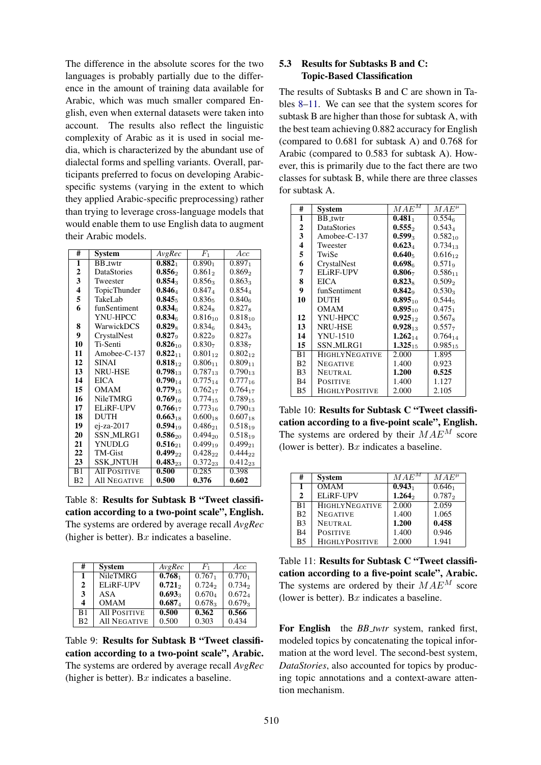The difference in the absolute scores for the two languages is probably partially due to the difference in the amount of training data available for Arabic, which was much smaller compared English, even when external datasets were taken into account. The results also reflect the linguistic complexity of Arabic as it is used in social media, which is characterized by the abundant use of dialectal forms and spelling variants. Overall, participants preferred to focus on developing Arabicspecific systems (varying in the extent to which they applied Arabic-specific preprocessing) rather than trying to leverage cross-language models that would enable them to use English data to augment their Arabic models.

| #              | System              | AvgRec             | $F_1$                 | Acc.                |
|----------------|---------------------|--------------------|-----------------------|---------------------|
| 1              | <b>BB_twtr</b>      | $0.882_1$          | $0.890_1$             | $0.897_1$           |
| 2              | <b>DataStories</b>  | 0.856              | $0.861_2$             | $0.869_2$           |
| 3              | Tweester            | $0.854_3$          | $0.856_3$             | 0.863 <sub>3</sub>  |
| 4              | TopicThunder        | $0.846_4$          | $0.847_4$             | $0.854_4$           |
| 5              | TakeLab             | 0.845 <sub>5</sub> | $0.836_5$             | $0.840_{6}$         |
| 6              | funSentiment        | 0.834 <sub>6</sub> | $0.824_8$             | $0.827_8$           |
|                | YNU-HPCC            | 0.834 <sub>6</sub> | $0.816_{10}$          | $0.818_{10}$        |
| 8              | WarwickDCS          | $0.829_{8}$        | 0.834 <sub>6</sub>    | $0.843_5$           |
| 9              | CrystalNest         | $0.827_9$          | 0.822 <sub>9</sub>    | $0.827_8$           |
| 10             | Ti-Senti            | $0.826_{10}$       | 0.830 <sub>7</sub>    | 0.838 <sub>7</sub>  |
| 11             | Amobee-C- $137$     | $0.822_{11}$       | $0.801$ <sub>12</sub> | $0.802_{12}$        |
| 12             | <b>SINAI</b>        | $0.818_{12}$       | $0.806_{11}$          | 0.809 <sub>11</sub> |
| 13             | <b>NRU-HSE</b>      | $0.798_{13}$       | $0.787_{13}$          | $0.790_{13}$        |
| 14             | <b>EICA</b>         | $0.790_{14}$       | $0.775_{14}$          | $0.777_{16}$        |
| 15             | OMAM                | $0.779_{15}$       | $0.762_{17}$          | $0.764_{17}$        |
| 16             | <b>NileTMRG</b>     | $0.769_{16}$       | $0.774_{15}$          | $0.789_{15}$        |
| 17             | <b>ELIRE-UPV</b>    | $0.766_{17}$       | $0.773_{16}$          | $0.790_{13}$        |
| 18             | <b>DUTH</b>         | $0.663_{18}$       | $0.600_{18}$          | $0.607_{18}$        |
| 19             | ej-za-2017          | $0.594_{19}$       | $0.486_{21}$          | $0.518_{19}$        |
| 20             | SSN MLRG1           | $0.586_{20}$       | $0.494_{20}$          | $0.518_{19}$        |
| 21             | YNUDLG              | $0.516_{21}$       | $0.499_{19}$          | $0.499_{21}$        |
| 22             | TM-Gist             | $0.499_{22}$       | $0.428_{22}$          | $0.444_{22}$        |
| 23             | <b>SSK_INTUH</b>    | $0.483_{23}$       | $0.372_{23}$          | $0.412_{23}$        |
| B <sub>1</sub> | <b>All POSITIVE</b> | 0.500              | 0.285                 | 0.398               |
| B <sub>2</sub> | <b>All NEGATIVE</b> | 0.500              | 0.376                 | 0.602               |

Table 8: Results for Subtask B "Tweet classification according to a two-point scale", English. The systems are ordered by average recall *AvgRec* (higher is better). Bx indicates a baseline.

| #              | <b>System</b>       | AvgRec             | $F_{1}$            | Acc.               |
|----------------|---------------------|--------------------|--------------------|--------------------|
| 1              | <b>NileTMRG</b>     | 0.768 <sub>1</sub> | 0.767 <sub>1</sub> | 0.770 <sub>1</sub> |
| $\mathbf{2}$   | ELiRF-UPV           | $0.721_2$          | $0.724_2$          | 0.734 <sub>2</sub> |
| 3              | ASA                 | 0.693              | $0.670_4$          | $0.672_{4}$        |
| 4              | <b>OMAM</b>         | 0.687 <sub>4</sub> | $0.678_3$          | $0.679_3$          |
| B1             | <b>All POSITIVE</b> | 0.500              | 0.362              | 0.566              |
| B <sub>2</sub> | <b>All NEGATIVE</b> | 0.500              | 0.303              | 0.434              |

Table 9: Results for Subtask B "Tweet classification according to a two-point scale", Arabic. The systems are ordered by average recall *AvgRec* (higher is better). Bx indicates a baseline.

## 5.3 Results for Subtasks B and C: Topic-Based Classification

The results of Subtasks B and C are shown in Tables 8–11. We can see that the system scores for subtask B are higher than those for subtask A, with the best team achieving 0.882 accuracy for English (compared to 0.681 for subtask A) and 0.768 for Arabic (compared to 0.583 for subtask A). However, this is primarily due to the fact there are two classes for subtask B, while there are three classes for subtask A.

| #                       | <b>System</b>         | $MAE^{M}$          | $MAE^{\mu}$        |
|-------------------------|-----------------------|--------------------|--------------------|
| 1                       | <b>BB</b> twtr        | 0.481 <sub>1</sub> | 0.554 <sub>6</sub> |
| 2                       | <b>DataStories</b>    | 0.555              | 0.5434             |
| 3                       | $Amobee-C-137$        | $0.599_3$          | $0.582_{10}$       |
| $\overline{\mathbf{4}}$ | Tweester              | $0.623_4$          | $0.734_{13}$       |
| 5                       | TwiSe                 | 0.640 <sub>5</sub> | $0.616_{12}$       |
| 6                       | CrystalNest           | 0.698 <sub>6</sub> | $0.571_{9}$        |
| 7                       | ELiRF-UPV             | 0.806 <sub>7</sub> | $0.586_{11}$       |
| 8                       | <b>EICA</b>           | $0.823_8$          | $0.509_{2}$        |
| 9                       | funSentiment          | $0.842_9$          | $0.530_3$          |
| 10                      | <b>DUTH</b>           | $0.895_{10}$       | $0.544_5$          |
|                         | OMAM                  | $0.895_{10}$       | $0.475_1$          |
| 12                      | YNU-HPCC              | $0.925_{12}$       | $0.567_8$          |
| 13                      | <b>NRU-HSE</b>        | $0.928_{13}$       | $0.557_{7}$        |
| 14                      | <b>YNU-1510</b>       | $1.262_{14}$       | $0.764_{14}$       |
| 15                      | SSN MLRG1             | $1.325_{15}$       | $0.985_{15}$       |
| B1                      | <b>HIGHLYNEGATIVE</b> | 2.000              | 1.895              |
| B <sub>2</sub>          | <b>NEGATIVE</b>       | 1.400              | 0.923              |
| B <sub>3</sub>          | <b>NEUTRAL</b>        | 1.200              | 0.525              |
| B <sub>4</sub>          | <b>POSITIVE</b>       | 1.400              | 1.127              |
| <b>B5</b>               | <b>HIGHLYPOSITIVE</b> | 2.000              | 2.105              |

Table 10: Results for Subtask C "Tweet classification according to a five-point scale", English. The systems are ordered by their  $MAE<sup>M</sup>$  score (lower is better). Bx indicates a baseline.

| #              | <b>System</b>         | $MAE^M$            | $MAE^{\mu}$ |
|----------------|-----------------------|--------------------|-------------|
| $\mathbf{1}$   | OMAM                  | 0.943 <sub>1</sub> | $0.646_1$   |
| $\mathbf{2}$   | ELiRF-UPV             | 1.264 <sub>2</sub> | $0.787_2$   |
| B1             | <b>HIGHLYNEGATIVE</b> | 2.000              | 2.059       |
| B <sub>2</sub> | <b>NEGATIVE</b>       | 1.400              | 1.065       |
| B <sub>3</sub> | <b>NEUTRAL</b>        | 1.200              | 0.458       |
| B <sub>4</sub> | <b>POSITIVE</b>       | 1.400              | 0.946       |
| B <sub>5</sub> | <b>HIGHLYPOSITIVE</b> | 2.000              | 1.941       |

Table 11: Results for Subtask C "Tweet classification according to a five-point scale", Arabic. The systems are ordered by their  $MAE<sup>M</sup>$  score (lower is better). Bx indicates a baseline.

For English the *BB\_twtr* system, ranked first, modeled topics by concatenating the topical information at the word level. The second-best system, *DataStories*, also accounted for topics by producing topic annotations and a context-aware attention mechanism.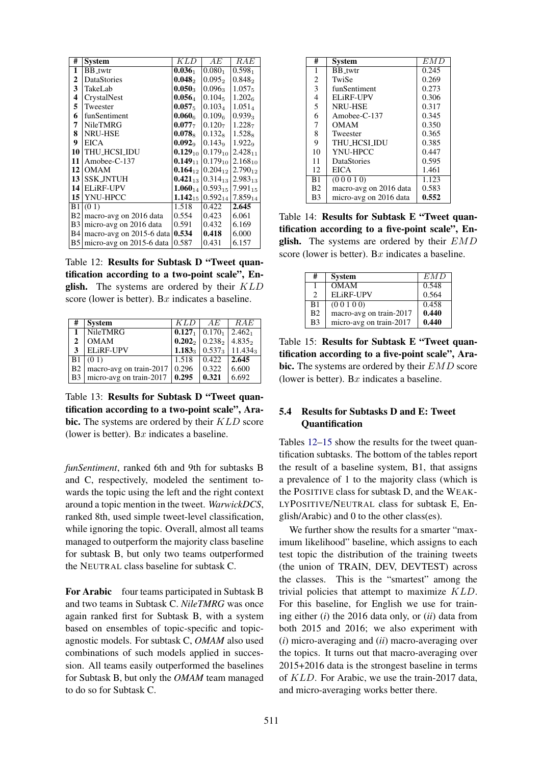| #                       | System                   | KLD                | AЕ                                               | RAE                |
|-------------------------|--------------------------|--------------------|--------------------------------------------------|--------------------|
| 1                       | <b>BB_twtr</b>           | 0.036 <sub>1</sub> | 0.080 <sub>1</sub>                               | 0.598 <sub>1</sub> |
| 2                       | DataStories              | $0.048_2$          | $0.095_2$                                        | $0.848_2$          |
| $\overline{\mathbf{3}}$ | TakeLab                  | $0.050_3$          | $0.096_3$                                        | $1.057_5$          |
| $\overline{\mathbf{4}}$ | CrystalNest              | $0.056_4$          | $0.104_5$                                        | 1.202 <sub>6</sub> |
| 5                       | Tweester                 | $0.057_5$          | $0.103_4$                                        | $1.051_4$          |
| 6                       | funSentiment             | 0.060 <sub>6</sub> | 0.1096                                           | $0.939_3$          |
| 7                       | <b>NileTMRG</b>          | $0.077_{7}$        | 0.120 <sub>7</sub>                               | 1.2287             |
| 8                       | <b>NRU-HSE</b>           | $0.078_8$          | $0.132_8$                                        | $1.528_8$          |
| 9                       | <b>EICA</b>              | 0.092 <sub>9</sub> | $0.143\sigma$                                    | 1.922 <sub>9</sub> |
| 10                      | THU_HCSI_IDU             |                    | <b>0.129</b> <sub>10</sub>   0.179 <sub>10</sub> | $2.428_{11}$       |
| 11                      | Amobee-C-137             |                    | $0.149_{11}$ 0.179 <sub>10</sub>                 | $2.168_{10}$       |
| 12                      | <b>OMAM</b>              | $0.164_{12}$       | $0.204_{12}$                                     | $2.790_{12}$       |
| 13                      | <b>SSK_JNTUH</b>         | $0.421_{13}$       | $0.314_{13}$                                     | $2.983_{13}$       |
| 14                      | <b>ELiRF-UPV</b>         | $1.060_{14}$       | $0.593_{15}$ 7.991 <sub>15</sub>                 |                    |
| 15                      | YNU-HPCC                 | $1.142_{15}$       | $0.592_{14}$                                     | $7.859_{14}$       |
| B1                      | (01)                     | 1.518              | 0.422                                            | 2.645              |
| B <sub>2</sub>          | macro-avg on 2016 data   | 0.554              | 0.423                                            | 6.061              |
| B <sub>3</sub>          | micro-avg on 2016 data   | 0.591              | 0.432                                            | 6.169              |
| <b>B4</b>               | macro-avg on 2015-6 data | 0.534              | 0.418                                            | 6.000              |
| B <sub>5</sub>          | micro-avg on 2015-6 data | 0.587              | 0.431                                            | 6.157              |

Table 12: Results for Subtask D "Tweet quantification according to a two-point scale", English. The systems are ordered by their  $KLD$ score (lower is better). Bx indicates a baseline.

| #              | <b>System</b>                          | KLD   | AE                                         | RAE                                                  |
|----------------|----------------------------------------|-------|--------------------------------------------|------------------------------------------------------|
| $\mathbf{1}$   | NileTMRG                               |       | $0.127_1$   $0.170_1$   2.462 <sub>1</sub> |                                                      |
| $\mathbf{2}$   | <b>OMAM</b>                            |       | $0.2022 \mid 0.2382 \mid 4.8352$           |                                                      |
| 3              | <b>ELiRF-UPV</b>                       |       |                                            | 1.183 <sub>3</sub>   $0.537_3$   11.434 <sub>3</sub> |
|                | B1 (01)                                | 1.518 | 0.422                                      | 2.645                                                |
|                | B2   macro-avg on train-2017   $0.296$ |       | 0.322                                      | 6.600                                                |
| B <sub>3</sub> | micro-avg on train-2017   $0.295$      |       | 0.321                                      | 6.692                                                |

Table 13: Results for Subtask D "Tweet quantification according to a two-point scale", Arabic. The systems are ordered by their  $KLD$  score (lower is better). Bx indicates a baseline.

*funSentiment*, ranked 6th and 9th for subtasks B and C, respectively, modeled the sentiment towards the topic using the left and the right context around a topic mention in the tweet. *WarwickDCS*, ranked 8th, used simple tweet-level classification, while ignoring the topic. Overall, almost all teams managed to outperform the majority class baseline for subtask B, but only two teams outperformed the NEUTRAL class baseline for subtask C.

For Arabic four teams participated in Subtask B and two teams in Subtask C. *NileTMRG* was once again ranked first for Subtask B, with a system based on ensembles of topic-specific and topicagnostic models. For subtask C, *OMAM* also used combinations of such models applied in succession. All teams easily outperformed the baselines for Subtask B, but only the *OMAM* team managed to do so for Subtask C.

| #              | System                 | EMD   |
|----------------|------------------------|-------|
| 1              | <b>BB_twtr</b>         | 0.245 |
| $\overline{2}$ | TwiSe                  | 0.269 |
| 3              | funSentiment           | 0.273 |
| $\overline{4}$ | ELiRF-UPV              | 0.306 |
| 5              | <b>NRU-HSE</b>         | 0.317 |
| 6              | Amobee-C-137           | 0.345 |
| 7              | OMAM                   | 0.350 |
| 8              | Tweester               | 0.365 |
| 9              | THU HCSI IDU           | 0.385 |
| 10             | YNU-HPCC               | 0.447 |
| 11             | <b>DataStories</b>     | 0.595 |
| 12             | <b>EICA</b>            | 1.461 |
| B1             | (00010)                | 1.123 |
| B <sub>2</sub> | macro-avg on 2016 data | 0.583 |
| B <sub>3</sub> | micro-avg on 2016 data | 0.552 |

Table 14: Results for Subtask E "Tweet quantification according to a five-point scale", English. The systems are ordered by their  $EMD$ score (lower is better). Bx indicates a baseline.

| #                           | <b>System</b>           | EMD   |
|-----------------------------|-------------------------|-------|
|                             |                         |       |
|                             | <b>OMAM</b>             | 0.548 |
| $\mathcal{D}_{\mathcal{L}}$ | ELiRF-UPV               | 0.564 |
| B1                          | (0 0 1 0 0)             | 0.458 |
| B <sub>2</sub>              | macro-avg on train-2017 | 0.440 |
| B <sub>3</sub>              | micro-avg on train-2017 | 0.440 |

Table 15: Results for Subtask E "Tweet quantification according to a five-point scale", Arabic. The systems are ordered by their  $EMD$  score (lower is better). Bx indicates a baseline.

## 5.4 Results for Subtasks D and E: Tweet **Quantification**

Tables 12–15 show the results for the tweet quantification subtasks. The bottom of the tables report the result of a baseline system, B1, that assigns a prevalence of 1 to the majority class (which is the POSITIVE class for subtask D, and the WEAK-LYPOSITIVE/NEUTRAL class for subtask E, English/Arabic) and 0 to the other class(es).

We further show the results for a smarter "maximum likelihood" baseline, which assigns to each test topic the distribution of the training tweets (the union of TRAIN, DEV, DEVTEST) across the classes. This is the "smartest" among the trivial policies that attempt to maximize KLD. For this baseline, for English we use for training either (*i*) the 2016 data only, or (*ii*) data from both 2015 and 2016; we also experiment with (*i*) micro-averaging and (*ii*) macro-averaging over the topics. It turns out that macro-averaging over 2015+2016 data is the strongest baseline in terms of KLD. For Arabic, we use the train-2017 data, and micro-averaging works better there.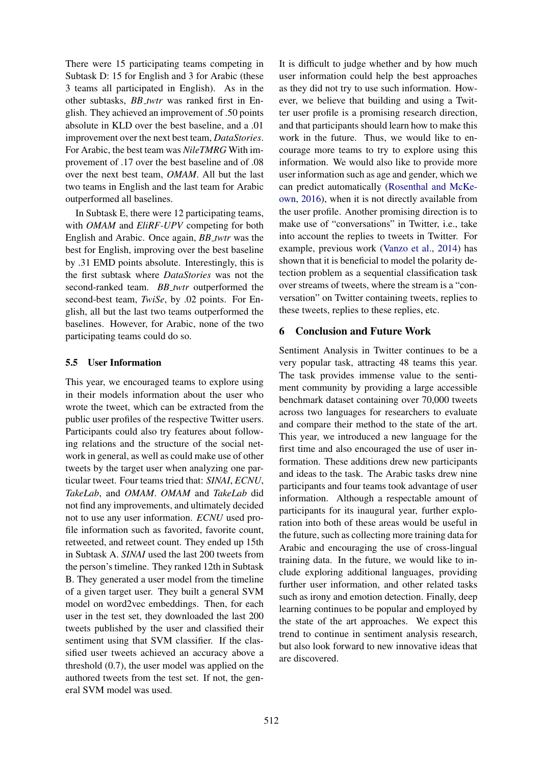There were 15 participating teams competing in Subtask D: 15 for English and 3 for Arabic (these 3 teams all participated in English). As in the other subtasks, *BB twtr* was ranked first in English. They achieved an improvement of .50 points absolute in KLD over the best baseline, and a .01 improvement over the next best team, *DataStories*. For Arabic, the best team was *NileTMRG* With improvement of .17 over the best baseline and of .08 over the next best team, *OMAM*. All but the last two teams in English and the last team for Arabic outperformed all baselines.

In Subtask E, there were 12 participating teams, with *OMAM* and *EliRF-UPV* competing for both English and Arabic. Once again, *BB twtr* was the best for English, improving over the best baseline by .31 EMD points absolute. Interestingly, this is the first subtask where *DataStories* was not the second-ranked team. *BB\_twtr* outperformed the second-best team, *TwiSe*, by .02 points. For English, all but the last two teams outperformed the baselines. However, for Arabic, none of the two participating teams could do so.

## 5.5 User Information

This year, we encouraged teams to explore using in their models information about the user who wrote the tweet, which can be extracted from the public user profiles of the respective Twitter users. Participants could also try features about following relations and the structure of the social network in general, as well as could make use of other tweets by the target user when analyzing one particular tweet. Four teams tried that: *SINAI*, *ECNU*, *TakeLab*, and *OMAM*. *OMAM* and *TakeLab* did not find any improvements, and ultimately decided not to use any user information. *ECNU* used profile information such as favorited, favorite count, retweeted, and retweet count. They ended up 15th in Subtask A. *SINAI* used the last 200 tweets from the person's timeline. They ranked 12th in Subtask B. They generated a user model from the timeline of a given target user. They built a general SVM model on word2vec embeddings. Then, for each user in the test set, they downloaded the last 200 tweets published by the user and classified their sentiment using that SVM classifier. If the classified user tweets achieved an accuracy above a threshold (0.7), the user model was applied on the authored tweets from the test set. If not, the general SVM model was used.

It is difficult to judge whether and by how much user information could help the best approaches as they did not try to use such information. However, we believe that building and using a Twitter user profile is a promising research direction, and that participants should learn how to make this work in the future. Thus, we would like to encourage more teams to try to explore using this information. We would also like to provide more user information such as age and gender, which we can predict automatically (Rosenthal and McKeown, 2016), when it is not directly available from the user profile. Another promising direction is to make use of "conversations" in Twitter, i.e., take into account the replies to tweets in Twitter. For example, previous work (Vanzo et al., 2014) has shown that it is beneficial to model the polarity detection problem as a sequential classification task over streams of tweets, where the stream is a "conversation" on Twitter containing tweets, replies to these tweets, replies to these replies, etc.

# 6 Conclusion and Future Work

Sentiment Analysis in Twitter continues to be a very popular task, attracting 48 teams this year. The task provides immense value to the sentiment community by providing a large accessible benchmark dataset containing over 70,000 tweets across two languages for researchers to evaluate and compare their method to the state of the art. This year, we introduced a new language for the first time and also encouraged the use of user information. These additions drew new participants and ideas to the task. The Arabic tasks drew nine participants and four teams took advantage of user information. Although a respectable amount of participants for its inaugural year, further exploration into both of these areas would be useful in the future, such as collecting more training data for Arabic and encouraging the use of cross-lingual training data. In the future, we would like to include exploring additional languages, providing further user information, and other related tasks such as irony and emotion detection. Finally, deep learning continues to be popular and employed by the state of the art approaches. We expect this trend to continue in sentiment analysis research, but also look forward to new innovative ideas that are discovered.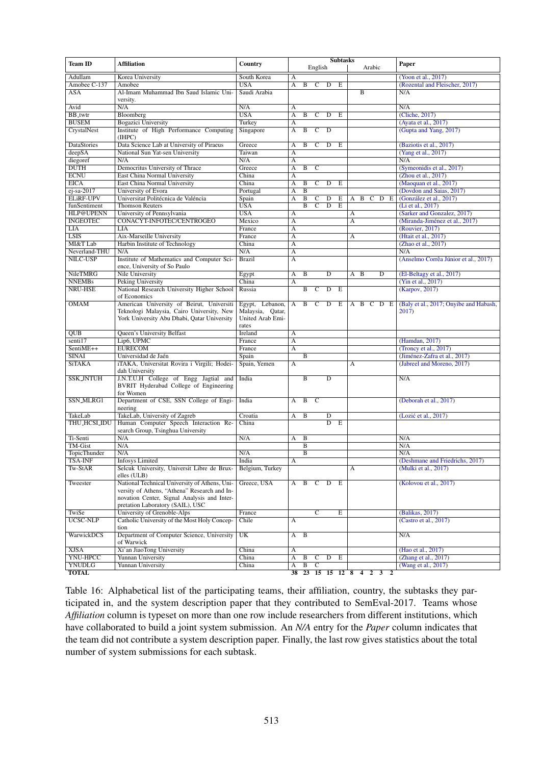| <b>Team ID</b>      | <b>Affiliation</b>                                                         | Country          |                         | <b>Subtasks</b> |                       |                |            |     | Paper          |                |                     |                                        |
|---------------------|----------------------------------------------------------------------------|------------------|-------------------------|-----------------|-----------------------|----------------|------------|-----|----------------|----------------|---------------------|----------------------------------------|
|                     |                                                                            |                  |                         |                 | English               |                |            |     |                | Arabic         |                     |                                        |
| <b>Adullam</b>      | Korea University                                                           | South Korea      | A                       |                 |                       |                |            |     |                |                |                     | (Yoon et al., 2017)                    |
| Amobee C-137        | Amobee                                                                     | <b>USA</b>       | A                       | B               | C                     | D              | E          |     |                |                |                     | (Rozental and Fleischer, 2017)         |
| <b>ASA</b>          | Al-Imam Muhammad Ibn Saud Islamic Uni-<br>versity.                         | Saudi Arabia     |                         |                 |                       |                |            |     | $\overline{B}$ |                |                     | N/A                                    |
| Avid                | N/A                                                                        | N/A              | A                       |                 |                       |                |            |     |                |                |                     | N/A                                    |
| <b>BB_twtr</b>      | Bloomberg                                                                  | <b>USA</b>       | $\overline{A}$          | B               | $\mathsf{C}$          | D              | E          |     |                |                |                     | (Cliche, 2017)                         |
| <b>BUSEM</b>        | <b>Bogazici University</b>                                                 | Turkey           | A                       |                 |                       |                |            |     |                |                |                     | (Ayata et al., 2017)                   |
| CrystalNest         | Institute of High Performance Computing<br>(IHPC)                          | Singapore        | $\overline{A}$          | $\overline{B}$  | $\overline{C}$        | $\overline{D}$ |            |     |                |                |                     | (Gupta and Yang, 2017)                 |
| <b>DataStories</b>  | Data Science Lab at University of Piraeus                                  | Greece           | A                       | $\overline{B}$  | $\overline{c}$        | $\overline{D}$ | E          |     |                |                |                     | (Baziotis et al., 2017)                |
| deepSA              | National Sun Yat-sen University                                            | Taiwan           | A                       |                 |                       |                |            |     |                |                |                     | (Yang et al., 2017)                    |
| diegoref            | N/A                                                                        | N/A              | A                       |                 |                       |                |            |     |                |                |                     | N/A                                    |
| <b>DUTH</b>         | Democritus University of Thrace                                            | Greece           | A                       | B               | $\overline{C}$        |                |            |     |                |                |                     | (Symeonidis et al., 2017)              |
| <b>ECNU</b>         | East China Normal University                                               | China            | A                       |                 |                       |                |            |     |                |                |                     | (Zhou et al., 2017)                    |
| <b>EICA</b>         | <b>East China Normal University</b>                                        | China            | A                       | B               | C                     | D              | E          |     |                |                |                     | (Maoquan et al., 2017)                 |
| $ej$ -sa-2017       | University of Evora                                                        | Portugal         | A                       | $\overline{B}$  |                       |                |            |     |                |                |                     | (Dovdon and Saias, 2017)               |
| <b>ELIRF-UPV</b>    | Universitat Politécnica de Valéncia                                        | Spain            | A                       | $\overline{B}$  | C                     | D              | E          |     | $A$ $B$        | $\mathbf{C}$   | $D$ E               | (González et al., 2017)                |
| funSentiment        | <b>Thomson Reuters</b>                                                     | <b>USA</b>       |                         | B               | С                     | D              | E          |     |                |                |                     | (Li et al., 2017)                      |
| HLP@UPENN           | University of Pennsylvania                                                 | <b>USA</b>       | A                       |                 |                       |                |            | A   |                |                |                     | (Sarker and Gonzalez, 2017)            |
| <b>INGEOTEC</b>     | CONACYT-INFOTEC/CENTROGEO                                                  | Mexico           | A                       |                 |                       |                |            | A   |                |                |                     | (Miranda-Jiménez et al., 2017)         |
| LIA                 | LIA                                                                        | France           | A                       |                 |                       |                |            |     |                |                |                     | (Rouvier, 2017)                        |
| <b>LSIS</b>         | Aix-Marseille University                                                   | France           | $\overline{A}$          |                 |                       |                |            | A   |                |                |                     | (Htait et al., 2017)                   |
| MI&T Lab            | Harbin Institute of Technology                                             | China            | A                       |                 |                       |                |            |     |                |                |                     | (Zhao et al., 2017)                    |
| Neverland-THU       | N/A                                                                        | N/A              | A                       |                 |                       |                |            |     |                |                |                     | N/A                                    |
| NILC-USP            | Institute of Mathematics and Computer Sci-<br>ence, University of So Paulo | <b>Brazil</b>    | $\overline{A}$          |                 |                       |                |            |     |                |                |                     | (Anselmo Corrêa Júnior et al., 2017)   |
| NileTMRG            | Nile University                                                            | Egypt            | A                       | B               |                       | D              |            | A B |                |                | D                   | (El-Beltagy et al., 2017)              |
| <b>NNEMBs</b>       | <b>Peking University</b>                                                   | China            | $\overline{A}$          |                 |                       |                |            |     |                |                |                     | (Yin et al., 2017)                     |
| <b>NRU-HSE</b>      | National Research University Higher School                                 | Russia           |                         | $\overline{B}$  | $\overline{c}$        | $\overline{D}$ | $_{\rm E}$ |     |                |                |                     | (Karpov, 2017)                         |
|                     | of Economics                                                               |                  |                         |                 |                       |                |            |     |                |                |                     |                                        |
| <b>OMAM</b>         | American University of Beirut, Universiti                                  | Egypt, Lebanon,  | $\overline{A}$          | B               | $\mathbf{C}$          | D              | E          |     |                |                | A B C D E           | (Baly et al., 2017; Onyibe and Habash, |
|                     | Teknologi Malaysia, Cairo University, New                                  | Malaysia, Qatar, |                         |                 |                       |                |            |     |                |                |                     | 2017)                                  |
|                     | York University Abu Dhabi, Oatar University                                | United Arab Emi- |                         |                 |                       |                |            |     |                |                |                     |                                        |
|                     |                                                                            | rates            |                         |                 |                       |                |            |     |                |                |                     |                                        |
| QUB                 | Queen's University Belfast                                                 | Ireland          | A                       |                 |                       |                |            |     |                |                |                     |                                        |
| senti17             | Lip6, UPMC                                                                 | France           | $\overline{A}$          |                 |                       |                |            |     |                |                |                     | (Hamdan, 2017)                         |
| SentiME++           | <b>EURECOM</b>                                                             | France           | $\overline{A}$          |                 |                       |                |            |     |                |                |                     | (Troncy et al., 2017)                  |
| <b>SINAI</b>        | Universidad de Jaén                                                        | Spain            |                         | B               |                       |                |            |     |                |                |                     | (Jiménez-Zafra et al., 2017)           |
| <b>SiTAKA</b>       | iTAKA, Universitat Rovira i Virgili; Hodei-<br>dah University              | Spain, Yemen     | $\overline{\mathbf{A}}$ |                 |                       |                |            | A   |                |                |                     | (Jabreel and Moreno, 2017)             |
| <b>SSK_JNTUH</b>    | J.N.T.U.H College of Engg Jagtial and                                      | India            |                         | $\overline{B}$  |                       | $\overline{D}$ |            |     |                |                |                     | N/A                                    |
|                     | BVRIT Hyderabad College of Engineering                                     |                  |                         |                 |                       |                |            |     |                |                |                     |                                        |
|                     | for Women                                                                  |                  |                         |                 |                       |                |            |     |                |                |                     |                                        |
| SSN_MLRG1           | Department of CSE, SSN College of Engi-                                    | India            | A                       | B               | $\mathbf C$           |                |            |     |                |                |                     | (Deborah et al., 2017)                 |
|                     | neering                                                                    |                  |                         |                 |                       |                |            |     |                |                |                     |                                        |
| TakeLab             | TakeLab, University of Zagreb                                              | Croatia          | A                       | B               |                       | D              |            |     |                |                |                     | (Lozić et al., 2017)                   |
| <b>THU_HCSL_IDU</b> | Human Computer Speech Interaction Re-                                      | China            |                         |                 |                       | $\overline{D}$ | E          |     |                |                |                     |                                        |
| Ti-Senti            | search Group, Tsinghua University<br>N/A                                   | N/A              |                         | $\overline{B}$  |                       |                |            |     |                |                |                     | N/A                                    |
| TM-Gist             | N/A                                                                        |                  | A                       | B               |                       |                |            |     |                |                |                     | N/A                                    |
| <b>TopicThunder</b> | N/A                                                                        | N/A              |                         | $\overline{B}$  |                       |                |            |     |                |                |                     | N/A                                    |
| <b>TSA-INF</b>      | <b>Infosys Limited</b>                                                     | India            | $\overline{A}$          |                 |                       |                |            |     |                |                |                     | (Deshmane and Friedrichs, 2017)        |
| Tw-StAR             | Selcuk University, Universit Libre de Brux-                                | Belgium, Turkey  |                         |                 |                       |                |            | A   |                |                |                     | (Mulki et al., 2017)                   |
|                     | elles (ULB)                                                                |                  |                         |                 |                       |                |            |     |                |                |                     |                                        |
| Tweester            | National Technical University of Athens, Uni-                              | Greece, USA      |                         | $A$ $B$         |                       | $C$ $D$ $E$    |            |     |                |                |                     | (Kolovou et al., 2017)                 |
|                     | versity of Athens, "Athena" Research and In-                               |                  |                         |                 |                       |                |            |     |                |                |                     |                                        |
|                     | novation Center, Signal Analysis and Inter-                                |                  |                         |                 |                       |                |            |     |                |                |                     |                                        |
|                     | pretation Laboratory (SAIL), USC                                           |                  |                         |                 |                       |                |            |     |                |                |                     |                                        |
| TwiSe               | University of Grenoble-Alps                                                | France           |                         |                 | $\overline{\text{c}}$ |                | E          |     |                |                |                     | (Balikas, 2017)                        |
| UCSC-NLP            | Catholic University of the Most Holy Concep-<br>tion                       | Chile            | A                       |                 |                       |                |            |     |                |                |                     | (Castro et al., 2017)                  |
| WarwickDCS          | Department of Computer Science, University                                 | UK               | A                       | $\overline{B}$  |                       |                |            |     |                |                |                     | N/A                                    |
|                     | of Warwick                                                                 |                  |                         |                 |                       |                |            |     |                |                |                     |                                        |
| <b>XJSA</b>         | Xi'an JiaoTong University                                                  | China            | A                       |                 |                       |                |            |     |                |                |                     | (Hao et al., 2017)                     |
| YNU-HPCC            | <b>Yunnan University</b>                                                   | China            | A                       | $\overline{B}$  | $\overline{C}$        | $\overline{D}$ | E          |     |                |                |                     | (Zhang et al., 2017)                   |
| <b>YNUDLG</b>       | Yunnan University                                                          | China            | A                       | B               | $\overline{c}$        |                |            |     |                |                |                     | (Wang et al., 2017)                    |
| <b>TOTAL</b>        |                                                                            |                  | 38                      | 23              | 15                    |                | 15 12 8    |     | $\overline{4}$ | $\overline{2}$ | $\overline{2}$<br>3 |                                        |

Table 16: Alphabetical list of the participating teams, their affiliation, country, the subtasks they participated in, and the system description paper that they contributed to SemEval-2017. Teams whose *Affiliation* column is typeset on more than one row include researchers from different institutions, which have collaborated to build a joint system submission. An *N/A* entry for the *Paper* column indicates that the team did not contribute a system description paper. Finally, the last row gives statistics about the total number of system submissions for each subtask.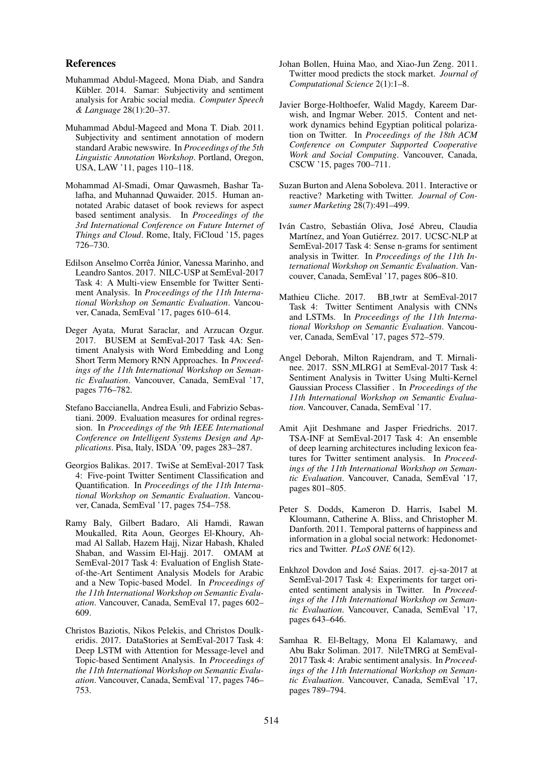#### References

- Muhammad Abdul-Mageed, Mona Diab, and Sandra Kübler. 2014. Samar: Subjectivity and sentiment analysis for Arabic social media. *Computer Speech & Language* 28(1):20–37.
- Muhammad Abdul-Mageed and Mona T. Diab. 2011. Subjectivity and sentiment annotation of modern standard Arabic newswire. In *Proceedings of the 5th Linguistic Annotation Workshop*. Portland, Oregon, USA, LAW '11, pages 110–118.
- Mohammad Al-Smadi, Omar Qawasmeh, Bashar Talafha, and Muhannad Quwaider. 2015. Human annotated Arabic dataset of book reviews for aspect based sentiment analysis. In *Proceedings of the 3rd International Conference on Future Internet of Things and Cloud*. Rome, Italy, FiCloud '15, pages 726–730.
- Edilson Anselmo Corrêa Júnior, Vanessa Marinho, and Leandro Santos. 2017. NILC-USP at SemEval-2017 Task 4: A Multi-view Ensemble for Twitter Sentiment Analysis. In *Proceedings of the 11th International Workshop on Semantic Evaluation*. Vancouver, Canada, SemEval '17, pages 610–614.
- Deger Ayata, Murat Saraclar, and Arzucan Ozgur. 2017. BUSEM at SemEval-2017 Task 4A: Sentiment Analysis with Word Embedding and Long Short Term Memory RNN Approaches. In *Proceedings of the 11th International Workshop on Semantic Evaluation*. Vancouver, Canada, SemEval '17, pages 776–782.
- Stefano Baccianella, Andrea Esuli, and Fabrizio Sebastiani. 2009. Evaluation measures for ordinal regression. In *Proceedings of the 9th IEEE International Conference on Intelligent Systems Design and Applications*. Pisa, Italy, ISDA '09, pages 283–287.
- Georgios Balikas. 2017. TwiSe at SemEval-2017 Task 4: Five-point Twitter Sentiment Classification and Quantification. In *Proceedings of the 11th International Workshop on Semantic Evaluation*. Vancouver, Canada, SemEval '17, pages 754–758.
- Ramy Baly, Gilbert Badaro, Ali Hamdi, Rawan Moukalled, Rita Aoun, Georges El-Khoury, Ahmad Al Sallab, Hazem Hajj, Nizar Habash, Khaled Shaban, and Wassim El-Hajj. 2017. OMAM at SemEval-2017 Task 4: Evaluation of English Stateof-the-Art Sentiment Analysis Models for Arabic and a New Topic-based Model. In *Proceedings of the 11th International Workshop on Semantic Evaluation*. Vancouver, Canada, SemEval 17, pages 602– 609.
- Christos Baziotis, Nikos Pelekis, and Christos Doulkeridis. 2017. DataStories at SemEval-2017 Task 4: Deep LSTM with Attention for Message-level and Topic-based Sentiment Analysis. In *Proceedings of the 11th International Workshop on Semantic Evaluation*. Vancouver, Canada, SemEval '17, pages 746– 753.
- Johan Bollen, Huina Mao, and Xiao-Jun Zeng. 2011. Twitter mood predicts the stock market. *Journal of Computational Science* 2(1):1–8.
- Javier Borge-Holthoefer, Walid Magdy, Kareem Darwish, and Ingmar Weber. 2015. Content and network dynamics behind Egyptian political polarization on Twitter. In *Proceedings of the 18th ACM Conference on Computer Supported Cooperative Work and Social Computing*. Vancouver, Canada, CSCW '15, pages 700–711.
- Suzan Burton and Alena Soboleva. 2011. Interactive or reactive? Marketing with Twitter. *Journal of Consumer Marketing* 28(7):491–499.
- Iván Castro, Sebastián Oliva, José Abreu, Claudia Martínez, and Yoan Gutiérrez. 2017. UCSC-NLP at SemEval-2017 Task 4: Sense n-grams for sentiment analysis in Twitter. In *Proceedings of the 11th International Workshop on Semantic Evaluation*. Vancouver, Canada, SemEval '17, pages 806–810.
- Mathieu Cliche. 2017. BB twtr at SemEval-2017 Task 4: Twitter Sentiment Analysis with CNNs and LSTMs. In *Proceedings of the 11th International Workshop on Semantic Evaluation*. Vancouver, Canada, SemEval '17, pages 572–579.
- Angel Deborah, Milton Rajendram, and T. Mirnalinee. 2017. SSN MLRG1 at SemEval-2017 Task 4: Sentiment Analysis in Twitter Using Multi-Kernel Gaussian Process Classifier . In *Proceedings of the 11th International Workshop on Semantic Evaluation*. Vancouver, Canada, SemEval '17.
- Amit Ajit Deshmane and Jasper Friedrichs. 2017. TSA-INF at SemEval-2017 Task 4: An ensemble of deep learning architectures including lexicon features for Twitter sentiment analysis. In *Proceedings of the 11th International Workshop on Semantic Evaluation*. Vancouver, Canada, SemEval '17, pages 801–805.
- Peter S. Dodds, Kameron D. Harris, Isabel M. Kloumann, Catherine A. Bliss, and Christopher M. Danforth. 2011. Temporal patterns of happiness and information in a global social network: Hedonometrics and Twitter. *PLoS ONE* 6(12).
- Enkhzol Dovdon and Jose Saias. 2017. ej-sa-2017 at ´ SemEval-2017 Task 4: Experiments for target oriented sentiment analysis in Twitter. In *Proceedings of the 11th International Workshop on Semantic Evaluation*. Vancouver, Canada, SemEval '17, pages 643–646.
- Samhaa R. El-Beltagy, Mona El Kalamawy, and Abu Bakr Soliman. 2017. NileTMRG at SemEval-2017 Task 4: Arabic sentiment analysis. In *Proceedings of the 11th International Workshop on Semantic Evaluation*. Vancouver, Canada, SemEval '17, pages 789–794.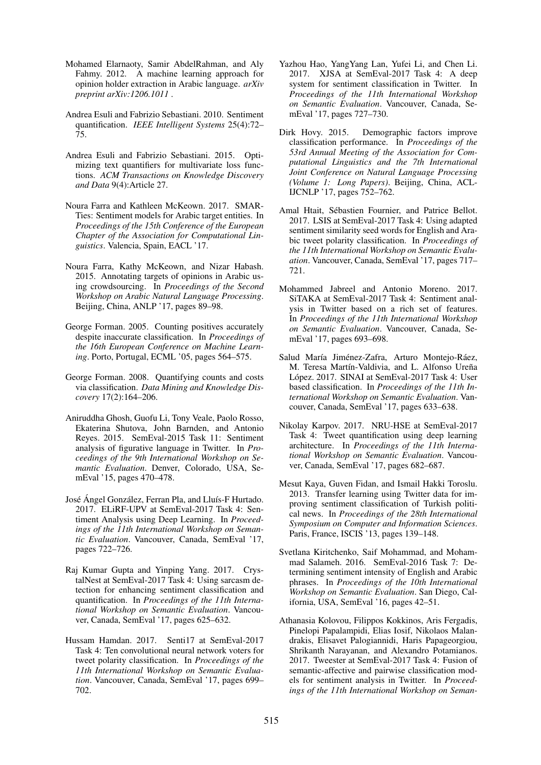- Mohamed Elarnaoty, Samir AbdelRahman, and Aly Fahmy. 2012. A machine learning approach for opinion holder extraction in Arabic language. *arXiv preprint arXiv:1206.1011* .
- Andrea Esuli and Fabrizio Sebastiani. 2010. Sentiment quantification. *IEEE Intelligent Systems* 25(4):72– 75.
- Andrea Esuli and Fabrizio Sebastiani. 2015. Optimizing text quantifiers for multivariate loss functions. *ACM Transactions on Knowledge Discovery and Data* 9(4):Article 27.
- Noura Farra and Kathleen McKeown. 2017. SMAR-Ties: Sentiment models for Arabic target entities. In *Proceedings of the 15th Conference of the European Chapter of the Association for Computational Linguistics*. Valencia, Spain, EACL '17.
- Noura Farra, Kathy McKeown, and Nizar Habash. 2015. Annotating targets of opinions in Arabic using crowdsourcing. In *Proceedings of the Second Workshop on Arabic Natural Language Processing*. Beijing, China, ANLP '17, pages 89–98.
- George Forman. 2005. Counting positives accurately despite inaccurate classification. In *Proceedings of the 16th European Conference on Machine Learning*. Porto, Portugal, ECML '05, pages 564–575.
- George Forman. 2008. Quantifying counts and costs via classification. *Data Mining and Knowledge Discovery* 17(2):164–206.
- Aniruddha Ghosh, Guofu Li, Tony Veale, Paolo Rosso, Ekaterina Shutova, John Barnden, and Antonio Reyes. 2015. SemEval-2015 Task 11: Sentiment analysis of figurative language in Twitter. In *Proceedings of the 9th International Workshop on Semantic Evaluation*. Denver, Colorado, USA, SemEval '15, pages 470–478.
- José Ángel González, Ferran Pla, and Lluís-F Hurtado. 2017. ELiRF-UPV at SemEval-2017 Task 4: Sentiment Analysis using Deep Learning. In *Proceedings of the 11th International Workshop on Semantic Evaluation*. Vancouver, Canada, SemEval '17, pages 722–726.
- Raj Kumar Gupta and Yinping Yang. 2017. CrystalNest at SemEval-2017 Task 4: Using sarcasm detection for enhancing sentiment classification and quantification. In *Proceedings of the 11th International Workshop on Semantic Evaluation*. Vancouver, Canada, SemEval '17, pages 625–632.
- Hussam Hamdan. 2017. Senti17 at SemEval-2017 Task 4: Ten convolutional neural network voters for tweet polarity classification. In *Proceedings of the 11th International Workshop on Semantic Evaluation*. Vancouver, Canada, SemEval '17, pages 699– 702.
- Yazhou Hao, YangYang Lan, Yufei Li, and Chen Li. 2017. XJSA at SemEval-2017 Task 4: A deep system for sentiment classification in Twitter. In *Proceedings of the 11th International Workshop on Semantic Evaluation*. Vancouver, Canada, SemEval '17, pages 727–730.
- Dirk Hovy. 2015. Demographic factors improve classification performance. In *Proceedings of the 53rd Annual Meeting of the Association for Computational Linguistics and the 7th International Joint Conference on Natural Language Processing (Volume 1: Long Papers)*. Beijing, China, ACL-IJCNLP '17, pages 752–762.
- Amal Htait, Sébastien Fournier, and Patrice Bellot. 2017. LSIS at SemEval-2017 Task 4: Using adapted sentiment similarity seed words for English and Arabic tweet polarity classification. In *Proceedings of the 11th International Workshop on Semantic Evaluation*. Vancouver, Canada, SemEval '17, pages 717– 721.
- Mohammed Jabreel and Antonio Moreno. 2017. SiTAKA at SemEval-2017 Task 4: Sentiment analysis in Twitter based on a rich set of features. In *Proceedings of the 11th International Workshop on Semantic Evaluation*. Vancouver, Canada, SemEval '17, pages 693–698.
- Salud María Jiménez-Zafra, Arturo Montejo-Ráez, M. Teresa Martín-Valdivia, and L. Alfonso Ureña López. 2017. SINAI at SemEval-2017 Task 4: User based classification. In *Proceedings of the 11th International Workshop on Semantic Evaluation*. Vancouver, Canada, SemEval '17, pages 633–638.
- Nikolay Karpov. 2017. NRU-HSE at SemEval-2017 Task 4: Tweet quantification using deep learning architecture. In *Proceedings of the 11th International Workshop on Semantic Evaluation*. Vancouver, Canada, SemEval '17, pages 682–687.
- Mesut Kaya, Guven Fidan, and Ismail Hakki Toroslu. 2013. Transfer learning using Twitter data for improving sentiment classification of Turkish political news. In *Proceedings of the 28th International Symposium on Computer and Information Sciences*. Paris, France, ISCIS '13, pages 139–148.
- Svetlana Kiritchenko, Saif Mohammad, and Mohammad Salameh. 2016. SemEval-2016 Task 7: Determining sentiment intensity of English and Arabic phrases. In *Proceedings of the 10th International Workshop on Semantic Evaluation*. San Diego, California, USA, SemEval '16, pages 42–51.
- Athanasia Kolovou, Filippos Kokkinos, Aris Fergadis, Pinelopi Papalampidi, Elias Iosif, Nikolaos Malandrakis, Elisavet Palogiannidi, Haris Papageorgiou, Shrikanth Narayanan, and Alexandro Potamianos. 2017. Tweester at SemEval-2017 Task 4: Fusion of semantic-affective and pairwise classification models for sentiment analysis in Twitter. In *Proceedings of the 11th International Workshop on Seman-*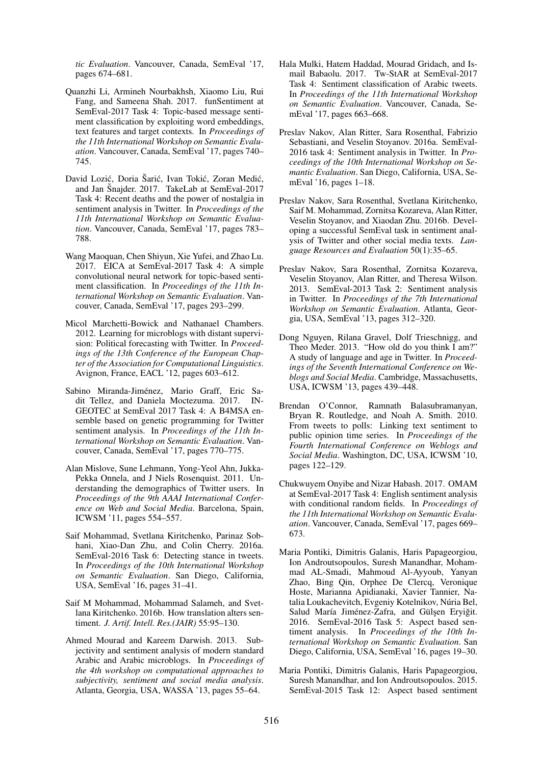*tic Evaluation*. Vancouver, Canada, SemEval '17, pages 674–681.

- Quanzhi Li, Armineh Nourbakhsh, Xiaomo Liu, Rui Fang, and Sameena Shah. 2017. funSentiment at SemEval-2017 Task 4: Topic-based message sentiment classification by exploiting word embeddings, text features and target contexts. In *Proceedings of the 11th International Workshop on Semantic Evaluation*. Vancouver, Canada, SemEval '17, pages 740– 745.
- David Lozić, Doria Šarić, Ivan Tokić, Zoran Medić, and Jan Šnajder. 2017. TakeLab at SemEval-2017 Task 4: Recent deaths and the power of nostalgia in sentiment analysis in Twitter. In *Proceedings of the 11th International Workshop on Semantic Evaluation*. Vancouver, Canada, SemEval '17, pages 783– 788.
- Wang Maoquan, Chen Shiyun, Xie Yufei, and Zhao Lu. 2017. EICA at SemEval-2017 Task 4: A simple convolutional neural network for topic-based sentiment classification. In *Proceedings of the 11th International Workshop on Semantic Evaluation*. Vancouver, Canada, SemEval '17, pages 293–299.
- Micol Marchetti-Bowick and Nathanael Chambers. 2012. Learning for microblogs with distant supervision: Political forecasting with Twitter. In *Proceedings of the 13th Conference of the European Chapter of the Association for Computational Linguistics*. Avignon, France, EACL '12, pages 603–612.
- Sabino Miranda-Jiménez, Mario Graff, Eric Sadit Tellez, and Daniela Moctezuma. 2017. IN-GEOTEC at SemEval 2017 Task 4: A B4MSA ensemble based on genetic programming for Twitter sentiment analysis. In *Proceedings of the 11th International Workshop on Semantic Evaluation*. Vancouver, Canada, SemEval '17, pages 770–775.
- Alan Mislove, Sune Lehmann, Yong-Yeol Ahn, Jukka-Pekka Onnela, and J Niels Rosenquist. 2011. Understanding the demographics of Twitter users. In *Proceedings of the 9th AAAI International Conference on Web and Social Media*. Barcelona, Spain, ICWSM '11, pages 554–557.
- Saif Mohammad, Svetlana Kiritchenko, Parinaz Sobhani, Xiao-Dan Zhu, and Colin Cherry. 2016a. SemEval-2016 Task 6: Detecting stance in tweets. In *Proceedings of the 10th International Workshop on Semantic Evaluation*. San Diego, California, USA, SemEval '16, pages 31–41.
- Saif M Mohammad, Mohammad Salameh, and Svetlana Kiritchenko. 2016b. How translation alters sentiment. *J. Artif. Intell. Res.(JAIR)* 55:95–130.
- Ahmed Mourad and Kareem Darwish. 2013. Subjectivity and sentiment analysis of modern standard Arabic and Arabic microblogs. In *Proceedings of the 4th workshop on computational approaches to subjectivity, sentiment and social media analysis*. Atlanta, Georgia, USA, WASSA '13, pages 55–64.
- Hala Mulki, Hatem Haddad, Mourad Gridach, and Ismail Babaolu. 2017. Tw-StAR at SemEval-2017 Task 4: Sentiment classification of Arabic tweets. In *Proceedings of the 11th International Workshop on Semantic Evaluation*. Vancouver, Canada, SemEval '17, pages 663–668.
- Preslav Nakov, Alan Ritter, Sara Rosenthal, Fabrizio Sebastiani, and Veselin Stoyanov. 2016a. SemEval-2016 task 4: Sentiment analysis in Twitter. In *Proceedings of the 10th International Workshop on Semantic Evaluation*. San Diego, California, USA, SemEval '16, pages 1–18.
- Preslav Nakov, Sara Rosenthal, Svetlana Kiritchenko, Saif M. Mohammad, Zornitsa Kozareva, Alan Ritter, Veselin Stoyanov, and Xiaodan Zhu. 2016b. Developing a successful SemEval task in sentiment analysis of Twitter and other social media texts. *Language Resources and Evaluation* 50(1):35–65.
- Preslav Nakov, Sara Rosenthal, Zornitsa Kozareva, Veselin Stoyanov, Alan Ritter, and Theresa Wilson. 2013. SemEval-2013 Task 2: Sentiment analysis in Twitter. In *Proceedings of the 7th International Workshop on Semantic Evaluation*. Atlanta, Georgia, USA, SemEval '13, pages 312–320.
- Dong Nguyen, Rilana Gravel, Dolf Trieschnigg, and Theo Meder. 2013. "How old do you think I am?" A study of language and age in Twitter. In *Proceedings of the Seventh International Conference on Weblogs and Social Media*. Cambridge, Massachusetts, USA, ICWSM '13, pages 439–448.
- Brendan O'Connor, Ramnath Balasubramanyan, Bryan R. Routledge, and Noah A. Smith. 2010. From tweets to polls: Linking text sentiment to public opinion time series. In *Proceedings of the Fourth International Conference on Weblogs and Social Media*. Washington, DC, USA, ICWSM '10, pages 122–129.
- Chukwuyem Onyibe and Nizar Habash. 2017. OMAM at SemEval-2017 Task 4: English sentiment analysis with conditional random fields. In *Proceedings of the 11th International Workshop on Semantic Evaluation*. Vancouver, Canada, SemEval '17, pages 669– 673.
- Maria Pontiki, Dimitris Galanis, Haris Papageorgiou, Ion Androutsopoulos, Suresh Manandhar, Mohammad AL-Smadi, Mahmoud Al-Ayyoub, Yanyan Zhao, Bing Qin, Orphee De Clercq, Veronique Hoste, Marianna Apidianaki, Xavier Tannier, Natalia Loukachevitch, Evgeniy Kotelnikov, Núria Bel, Salud María Jiménez-Zafra, and Gülsen Eryiğit. 2016. SemEval-2016 Task 5: Aspect based sentiment analysis. In *Proceedings of the 10th International Workshop on Semantic Evaluation*. San Diego, California, USA, SemEval '16, pages 19–30.
- Maria Pontiki, Dimitris Galanis, Haris Papageorgiou, Suresh Manandhar, and Ion Androutsopoulos. 2015. SemEval-2015 Task 12: Aspect based sentiment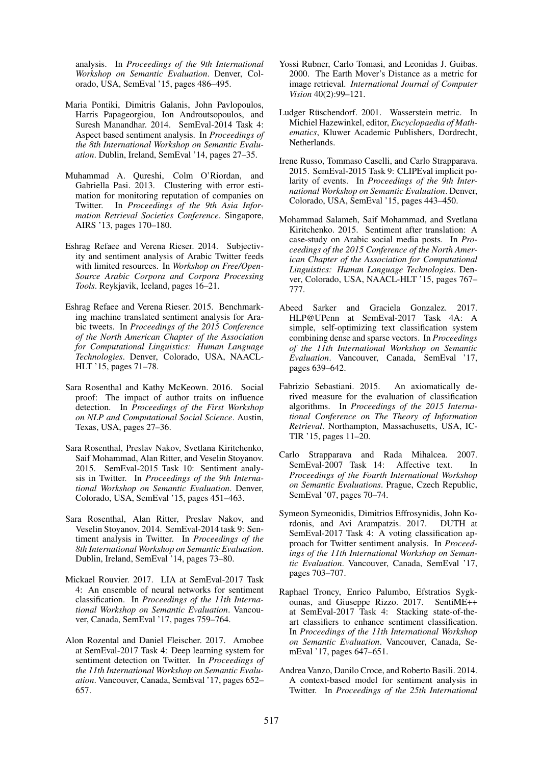analysis. In *Proceedings of the 9th International Workshop on Semantic Evaluation*. Denver, Colorado, USA, SemEval '15, pages 486–495.

- Maria Pontiki, Dimitris Galanis, John Pavlopoulos, Harris Papageorgiou, Ion Androutsopoulos, and Suresh Manandhar. 2014. SemEval-2014 Task 4: Aspect based sentiment analysis. In *Proceedings of the 8th International Workshop on Semantic Evaluation*. Dublin, Ireland, SemEval '14, pages 27–35.
- Muhammad A. Qureshi, Colm O'Riordan, and Gabriella Pasi. 2013. Clustering with error estimation for monitoring reputation of companies on Twitter. In *Proceedings of the 9th Asia Information Retrieval Societies Conference*. Singapore, AIRS '13, pages 170–180.
- Eshrag Refaee and Verena Rieser. 2014. Subjectivity and sentiment analysis of Arabic Twitter feeds with limited resources. In *Workshop on Free/Open-Source Arabic Corpora and Corpora Processing Tools*. Reykjavik, Iceland, pages 16–21.
- Eshrag Refaee and Verena Rieser. 2015. Benchmarking machine translated sentiment analysis for Arabic tweets. In *Proceedings of the 2015 Conference of the North American Chapter of the Association for Computational Linguistics: Human Language Technologies*. Denver, Colorado, USA, NAACL-HLT '15, pages 71–78.
- Sara Rosenthal and Kathy McKeown. 2016. Social proof: The impact of author traits on influence detection. In *Proceedings of the First Workshop on NLP and Computational Social Science*. Austin, Texas, USA, pages 27–36.
- Sara Rosenthal, Preslav Nakov, Svetlana Kiritchenko, Saif Mohammad, Alan Ritter, and Veselin Stoyanov. 2015. SemEval-2015 Task 10: Sentiment analysis in Twitter. In *Proceedings of the 9th International Workshop on Semantic Evaluation*. Denver, Colorado, USA, SemEval '15, pages 451–463.
- Sara Rosenthal, Alan Ritter, Preslav Nakov, and Veselin Stoyanov. 2014. SemEval-2014 task 9: Sentiment analysis in Twitter. In *Proceedings of the 8th International Workshop on Semantic Evaluation*. Dublin, Ireland, SemEval '14, pages 73–80.
- Mickael Rouvier. 2017. LIA at SemEval-2017 Task 4: An ensemble of neural networks for sentiment classification. In *Proceedings of the 11th International Workshop on Semantic Evaluation*. Vancouver, Canada, SemEval '17, pages 759–764.
- Alon Rozental and Daniel Fleischer. 2017. Amobee at SemEval-2017 Task 4: Deep learning system for sentiment detection on Twitter. In *Proceedings of the 11th International Workshop on Semantic Evaluation*. Vancouver, Canada, SemEval '17, pages 652– 657.
- Yossi Rubner, Carlo Tomasi, and Leonidas J. Guibas. 2000. The Earth Mover's Distance as a metric for image retrieval. *International Journal of Computer Vision* 40(2):99–121.
- Ludger Rüschendorf. 2001. Wasserstein metric. In Michiel Hazewinkel, editor, *Encyclopaedia of Mathematics*, Kluwer Academic Publishers, Dordrecht, Netherlands.
- Irene Russo, Tommaso Caselli, and Carlo Strapparava. 2015. SemEval-2015 Task 9: CLIPEval implicit polarity of events. In *Proceedings of the 9th International Workshop on Semantic Evaluation*. Denver, Colorado, USA, SemEval '15, pages 443–450.
- Mohammad Salameh, Saif Mohammad, and Svetlana Kiritchenko. 2015. Sentiment after translation: A case-study on Arabic social media posts. In *Proceedings of the 2015 Conference of the North American Chapter of the Association for Computational Linguistics: Human Language Technologies*. Denver, Colorado, USA, NAACL-HLT '15, pages 767– 777.
- Abeed Sarker and Graciela Gonzalez. 2017. HLP@UPenn at SemEval-2017 Task 4A: A simple, self-optimizing text classification system combining dense and sparse vectors. In *Proceedings of the 11th International Workshop on Semantic Evaluation*. Vancouver, Canada, SemEval '17, pages 639–642.
- Fabrizio Sebastiani. 2015. An axiomatically derived measure for the evaluation of classification algorithms. In *Proceedings of the 2015 International Conference on The Theory of Information Retrieval*. Northampton, Massachusetts, USA, IC-TIR '15, pages 11–20.
- Carlo Strapparava and Rada Mihalcea. 2007. SemEval-2007 Task 14: Affective text. In *Proceedings of the Fourth International Workshop on Semantic Evaluations*. Prague, Czech Republic, SemEval '07, pages 70–74.
- Symeon Symeonidis, Dimitrios Effrosynidis, John Kordonis, and Avi Arampatzis. 2017. DUTH at SemEval-2017 Task 4: A voting classification approach for Twitter sentiment analysis. In *Proceedings of the 11th International Workshop on Semantic Evaluation*. Vancouver, Canada, SemEval '17, pages 703–707.
- Raphael Troncy, Enrico Palumbo, Efstratios Sygkounas, and Giuseppe Rizzo. 2017. SentiME++ at SemEval-2017 Task 4: Stacking state-of-theart classifiers to enhance sentiment classification. In *Proceedings of the 11th International Workshop on Semantic Evaluation*. Vancouver, Canada, SemEval '17, pages 647–651.
- Andrea Vanzo, Danilo Croce, and Roberto Basili. 2014. A context-based model for sentiment analysis in Twitter. In *Proceedings of the 25th International*